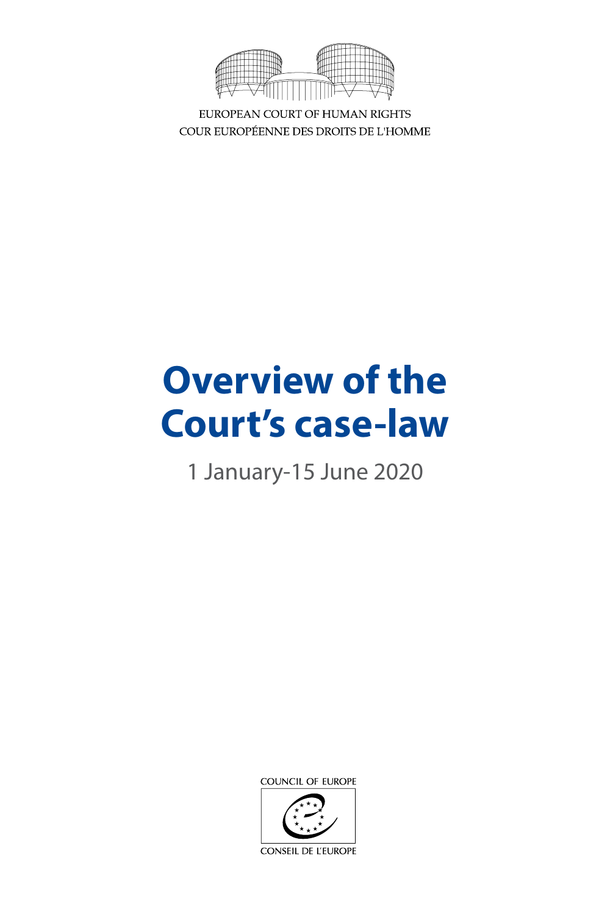

EUROPEAN COURT OF HUMAN RIGHTS COUR EUROPÉENNE DES DROITS DE L'HOMME

# **Overview of the Court's case-law**

1 January-15 June 2020

COUNCIL OF EUROPE



CONSEIL DE L'EUROPE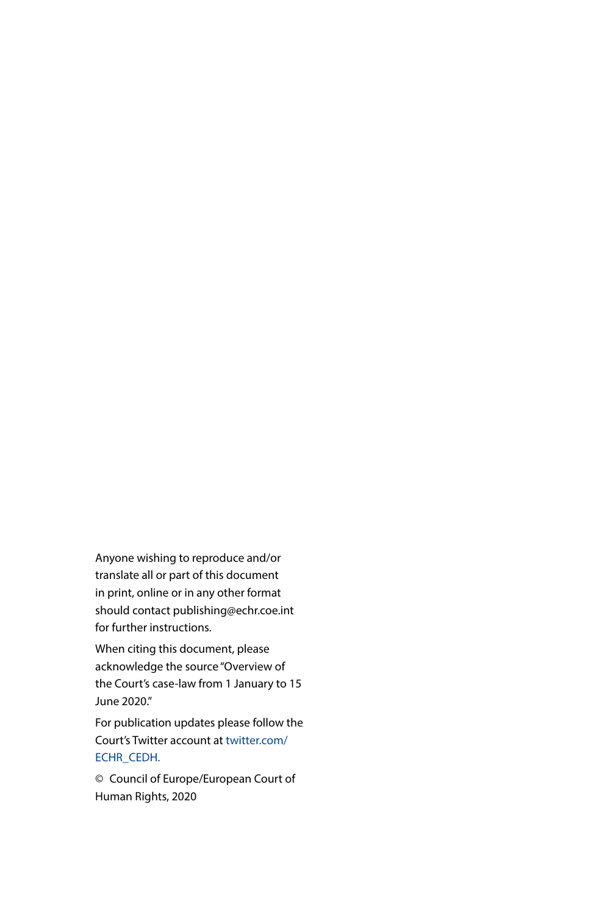Anyone wishing to reproduce and/or translate all or part of this document in print, online or in any other format should contact publishing@echr.coe.int for further instructions.

When citing this document, please acknowledge the source "Overview of the Court's case-law from 1 January to 15 June 2020."

For publication updates please follow the Court's Twitter account at [twitter.com/](https://twitter.com/ECHR_CEDH) [ECHR\\_CEDH](https://twitter.com/ECHR_CEDH).

© Council of Europe/European Court of Human Rights, 2020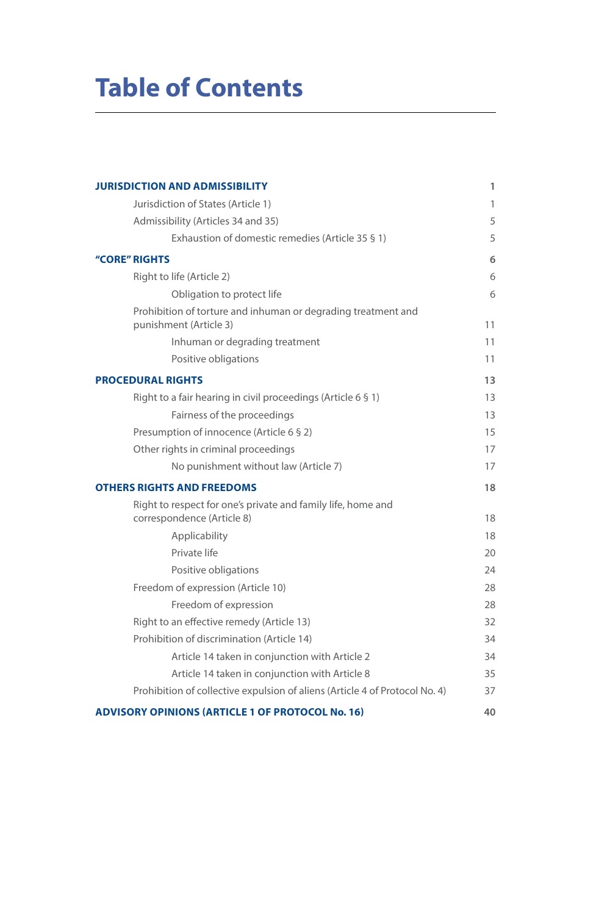## **Table of Contents**

| <b>JURISDICTION AND ADMISSIBILITY</b>                                                      | 1  |
|--------------------------------------------------------------------------------------------|----|
| Jurisdiction of States (Article 1)                                                         | 1  |
| Admissibility (Articles 34 and 35)                                                         | 5  |
| Exhaustion of domestic remedies (Article 35 § 1)                                           | 5  |
| "CORE" RIGHTS                                                                              | 6  |
| Right to life (Article 2)                                                                  | 6  |
| Obligation to protect life                                                                 | 6  |
| Prohibition of torture and inhuman or degrading treatment and<br>punishment (Article 3)    | 11 |
| Inhuman or degrading treatment                                                             | 11 |
| Positive obligations                                                                       | 11 |
| <b>PROCEDURAL RIGHTS</b>                                                                   | 13 |
| Right to a fair hearing in civil proceedings (Article 6 § 1)                               | 13 |
| Fairness of the proceedings                                                                | 13 |
| Presumption of innocence (Article 6 § 2)                                                   | 15 |
| Other rights in criminal proceedings                                                       | 17 |
| No punishment without law (Article 7)                                                      | 17 |
| <b>OTHERS RIGHTS AND FREEDOMS</b>                                                          | 18 |
| Right to respect for one's private and family life, home and<br>correspondence (Article 8) | 18 |
| Applicability                                                                              | 18 |
| Private life                                                                               | 20 |
| Positive obligations                                                                       | 24 |
| Freedom of expression (Article 10)                                                         | 28 |
| Freedom of expression                                                                      | 28 |
| Right to an effective remedy (Article 13)                                                  | 32 |
| Prohibition of discrimination (Article 14)                                                 | 34 |
| Article 14 taken in conjunction with Article 2                                             | 34 |
| Article 14 taken in conjunction with Article 8                                             | 35 |
| Prohibition of collective expulsion of aliens (Article 4 of Protocol No. 4)                | 37 |
| <b>ADVISORY OPINIONS (ARTICLE 1 OF PROTOCOL No. 16)</b>                                    | 40 |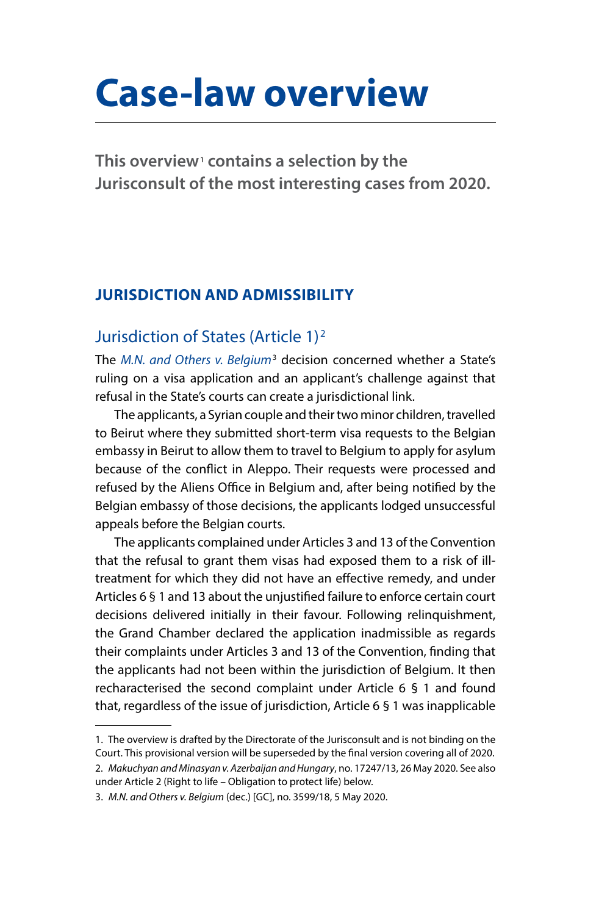## <span id="page-4-0"></span>**Case-law overview**

**This overview**<sup>1</sup>  **contains a selection by the Jurisconsult of the most interesting cases from 2020.** 

## **JURISDICTION AND ADMISSIBILITY**

## Jurisdiction of States (Article 1)2

The *[M.N. and Others v. Belgium](http://hudoc.echr.coe.int/eng?i=001-202468)*<sup>3</sup> decision concerned whether a State's ruling on a visa application and an applicant's challenge against that refusal in the State's courts can create a jurisdictional link.

The applicants, a Syrian couple and their two minor children, travelled to Beirut where they submitted short-term visa requests to the Belgian embassy in Beirut to allow them to travel to Belgium to apply for asylum because of the conflict in Aleppo. Their requests were processed and refused by the Aliens Office in Belgium and, after being notified by the Belgian embassy of those decisions, the applicants lodged unsuccessful appeals before the Belgian courts.

The applicants complained under Articles 3 and 13 of the Convention that the refusal to grant them visas had exposed them to a risk of illtreatment for which they did not have an effective remedy, and under Articles 6 § 1 and 13 about the unjustified failure to enforce certain court decisions delivered initially in their favour. Following relinquishment, the Grand Chamber declared the application inadmissible as regards their complaints under Articles 3 and 13 of the Convention, finding that the applicants had not been within the jurisdiction of Belgium. It then recharacterised the second complaint under Article 6 § 1 and found that, regardless of the issue of jurisdiction, Article 6 § 1 was inapplicable

```
under Article 2 (Right to life – Obligation to protect life) below.
```

```
3. M.N. and Others v. Belgium (dec.) [GC], no. 3599/18, 5 May 2020.
```
<sup>1.</sup> The overview is drafted by the Directorate of the Jurisconsult and is not binding on the Court. This provisional version will be superseded by the final version covering all of 2020. 2. *Makuchyan and Minasyan v. Azerbaijan and Hungary*, no. 17247/13, 26 May 2020. See also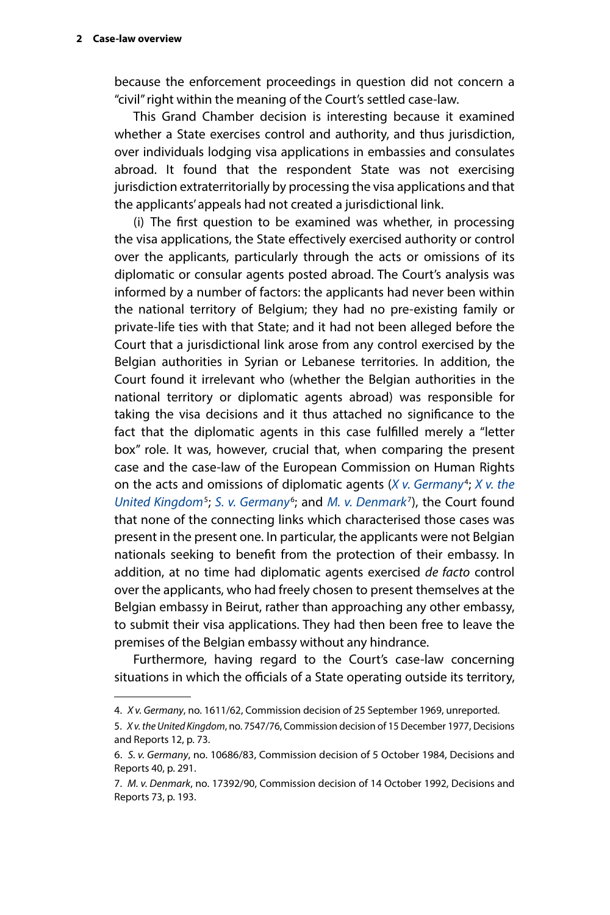because the enforcement proceedings in question did not concern a "civil" right within the meaning of the Court's settled case-law.

This Grand Chamber decision is interesting because it examined whether a State exercises control and authority, and thus jurisdiction, over individuals lodging visa applications in embassies and consulates abroad. It found that the respondent State was not exercising jurisdiction extraterritorially by processing the visa applications and that the applicants' appeals had not created a jurisdictional link.

(i) The first question to be examined was whether, in processing the visa applications, the State effectively exercised authority or control over the applicants, particularly through the acts or omissions of its diplomatic or consular agents posted abroad. The Court's analysis was informed by a number of factors: the applicants had never been within the national territory of Belgium; they had no pre-existing family or private-life ties with that State; and it had not been alleged before the Court that a jurisdictional link arose from any control exercised by the Belgian authorities in Syrian or Lebanese territories. In addition, the Court found it irrelevant who (whether the Belgian authorities in the national territory or diplomatic agents abroad) was responsible for taking the visa decisions and it thus attached no significance to the fact that the diplomatic agents in this case fulfilled merely a "letter box" role. It was, however, crucial that, when comparing the present case and the case-law of the European Commission on Human Rights on the acts and omissions of diplomatic agents (*[X v. Germany](http://hudoc.echr.coe.int/eng?i=001-82912)<sup>4</sup>*; *X v. the* [United Kingdom](http://hudoc.echr.coe.int/eng?i=001-74380)<sup>5</sup>; [S. v. Germany](http://hudoc.echr.coe.int/eng?i=001-74599)<sup>6</sup>; and *[M. v. Denmark](http://hudoc.echr.coe.int/eng?i=001-1390)<sup>7</sup>*), the Court found that none of the connecting links which characterised those cases was present in the present one. In particular, the applicants were not Belgian nationals seeking to benefit from the protection of their embassy. In addition, at no time had diplomatic agents exercised *de facto* control over the applicants, who had freely chosen to present themselves at the Belgian embassy in Beirut, rather than approaching any other embassy, to submit their visa applications. They had then been free to leave the premises of the Belgian embassy without any hindrance.

Furthermore, having regard to the Court's case-law concerning situations in which the officials of a State operating outside its territory,

<sup>4.</sup> *X v. Germany*, no. 1611/62, Commission decision of 25 September 1969, unreported.

<sup>5.</sup> *X v. the United Kingdom*, no. 7547/76, Commission decision of 15 December 1977, Decisions and Reports 12, p. 73.

<sup>6.</sup> *S. v. Germany*, no. 10686/83, Commission decision of 5 October 1984, Decisions and Reports 40, p. 291.

<sup>7.</sup> *M. v. Denmark*, no. 17392/90, Commission decision of 14 October 1992, Decisions and Reports 73, p. 193.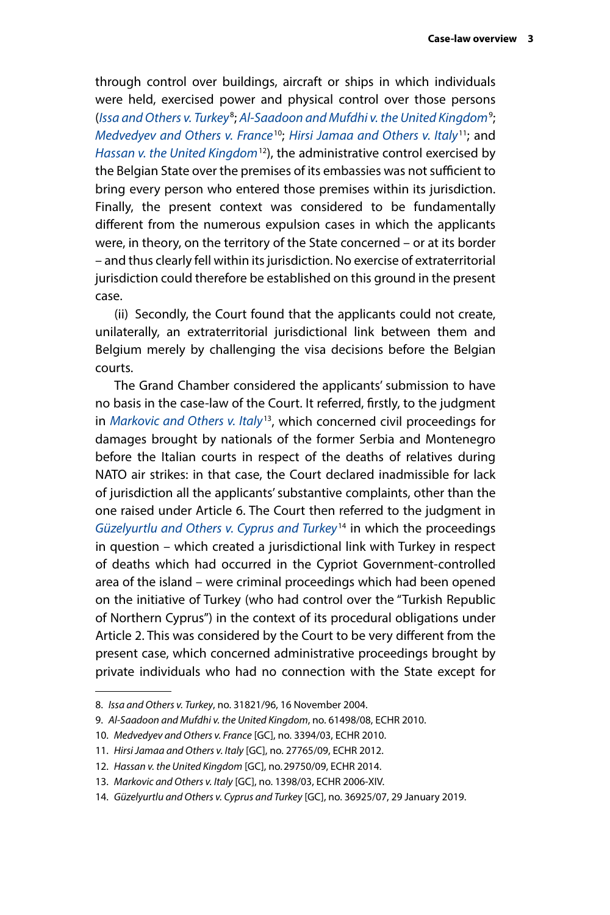through control over buildings, aircraft or ships in which individuals were held, exercised power and physical control over those persons (*[Issa and Others v. Turkey](http://hudoc.echr.coe.int/eng?i=001-67460)*<sup>8</sup> ; *[Al-Saadoon and Mufdhi v. the United Kingdom](http://hudoc.echr.coe.int/eng?i=001-97575)*<sup>9</sup> ; *[Medvedyev and Others v. France](http://hudoc.echr.coe.int/eng?i=001-97979)*10; *[Hirsi Jamaa and Others v. Italy](http://hudoc.echr.coe.int/eng?i=001-109231)*11; and *[Hassan v. the United Kingdom](http://hudoc.echr.coe.int/eng?i=001-146501)*12), the administrative control exercised by the Belgian State over the premises of its embassies was not sufficient to bring every person who entered those premises within its jurisdiction. Finally, the present context was considered to be fundamentally different from the numerous expulsion cases in which the applicants were, in theory, on the territory of the State concerned – or at its border – and thus clearly fell within its jurisdiction. No exercise of extraterritorial jurisdiction could therefore be established on this ground in the present case.

(ii) Secondly, the Court found that the applicants could not create, unilaterally, an extraterritorial jurisdictional link between them and Belgium merely by challenging the visa decisions before the Belgian courts.

The Grand Chamber considered the applicants' submission to have no basis in the case-law of the Court. It referred, firstly, to the judgment in *[Markovic and Others v. Italy](http://hudoc.echr.coe.int/eng?i=001-78623)*13, which concerned civil proceedings for damages brought by nationals of the former Serbia and Montenegro before the Italian courts in respect of the deaths of relatives during NATO air strikes: in that case, the Court declared inadmissible for lack of jurisdiction all the applicants' substantive complaints, other than the one raised under Article 6. The Court then referred to the judgment in *[Güzelyurtlu and Others v. Cyprus and Turkey](http://hudoc.echr.coe.int/eng?i=001-189781)*14 in which the proceedings in question – which created a jurisdictional link with Turkey in respect of deaths which had occurred in the Cypriot Government-controlled area of the island – were criminal proceedings which had been opened on the initiative of Turkey (who had control over the "Turkish Republic of Northern Cyprus") in the context of its procedural obligations under Article 2. This was considered by the Court to be very different from the present case, which concerned administrative proceedings brought by private individuals who had no connection with the State except for

<sup>8.</sup> *Issa and Others v. Turkey*, no. 31821/96, 16 November 2004.

<sup>9.</sup> *Al-Saadoon and Mufdhi v. the United Kingdom*, no. 61498/08, ECHR 2010.

<sup>10.</sup> *Medvedyev and Others v. France* [GC], no. 3394/03, ECHR 2010.

<sup>11.</sup> *Hirsi Jamaa and Others v. Italy* [GC], no. 27765/09, ECHR 2012.

<sup>12.</sup> *Hassan v. the United Kingdom* [GC], no.29750/09, ECHR 2014.

<sup>13.</sup> *Markovic and Others v. Italy* [GC], no. 1398/03, ECHR 2006-XIV.

<sup>14.</sup> *Güzelyurtlu and Others v. Cyprus and Turkey* [GC], no. 36925/07, 29 January 2019.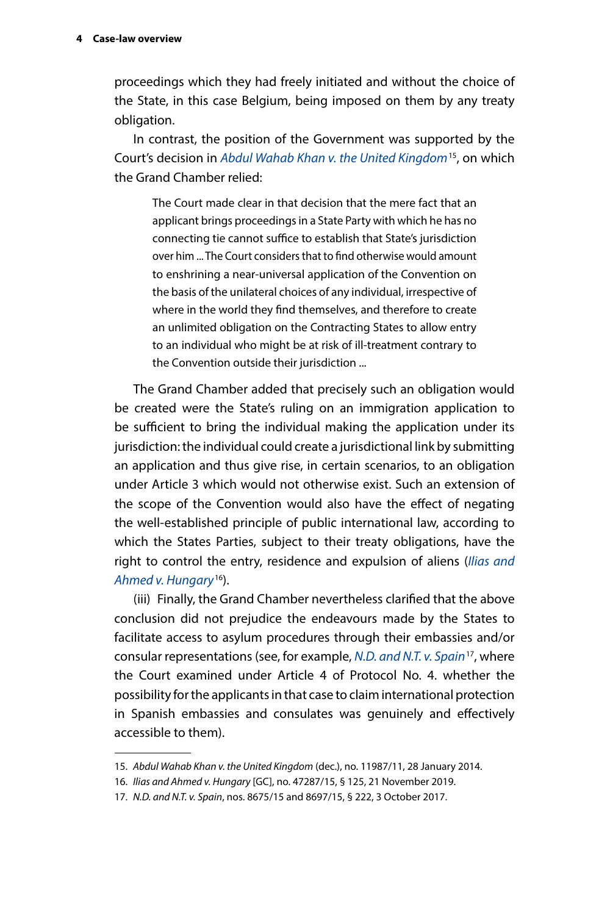proceedings which they had freely initiated and without the choice of the State, in this case Belgium, being imposed on them by any treaty obligation.

In contrast, the position of the Government was supported by the Court's decision in *[Abdul Wahab Khan v. the United Kingdom](http://hudoc.echr.coe.int/eng?i=001-141293)*15, on which the Grand Chamber relied:

The Court made clear in that decision that the mere fact that an applicant brings proceedings in a State Party with which he has no connecting tie cannot suffice to establish that State's jurisdiction over him ... The Court considers that to find otherwise would amount to enshrining a near-universal application of the Convention on the basis of the unilateral choices of any individual, irrespective of where in the world they find themselves, and therefore to create an unlimited obligation on the Contracting States to allow entry to an individual who might be at risk of ill-treatment contrary to the Convention outside their jurisdiction ...

The Grand Chamber added that precisely such an obligation would be created were the State's ruling on an immigration application to be sufficient to bring the individual making the application under its jurisdiction: the individual could create a jurisdictional link by submitting an application and thus give rise, in certain scenarios, to an obligation under Article 3 which would not otherwise exist. Such an extension of the scope of the Convention would also have the effect of negating the well-established principle of public international law, according to which the States Parties, subject to their treaty obligations, have the right to control the entry, residence and expulsion of aliens (*[Ilias and](http://hudoc.echr.coe.int/eng?i=001-198760)  [Ahmed v. Hungary](http://hudoc.echr.coe.int/eng?i=001-198760)*16).

(iii) Finally, the Grand Chamber nevertheless clarified that the above conclusion did not prejudice the endeavours made by the States to facilitate access to asylum procedures through their embassies and/or consular representations (see, for example, *[N.D. and N.T. v. Spain](http://hudoc.echr.coe.int/eng?i=001-201353)*17, where the Court examined under Article 4 of Protocol No. 4. whether the possibility for the applicants in that case to claim international protection in Spanish embassies and consulates was genuinely and effectively accessible to them).

<sup>15.</sup> *Abdul Wahab Khan v. the United Kingdom* (dec.), no. 11987/11, 28 January 2014.

<sup>16.</sup> *Ilias and Ahmed v. Hungary* [GC], no. 47287/15, § 125, 21 November 2019.

<sup>17.</sup> *N.D. and N.T. v. Spain*, nos. 8675/15 and 8697/15, § 222, 3 October 2017.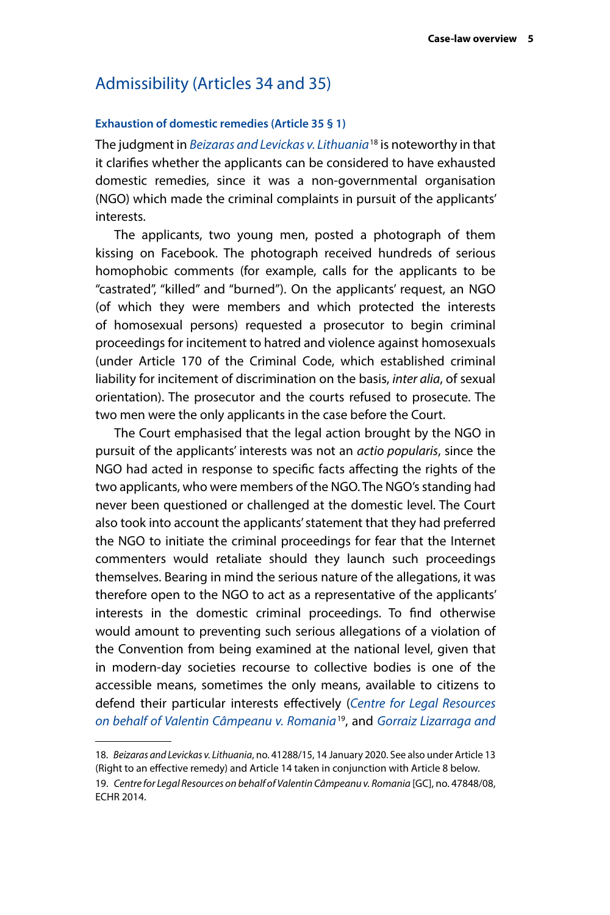### <span id="page-8-0"></span>Admissibility (Articles 34 and 35)

#### **Exhaustion of domestic remedies (Article 35 § 1)**

The judgment in *[Beizaras and Levickas v. Lithuania](http://hudoc.echr.coe.int/eng?i=001-200344)*18 is noteworthy in that it clarifies whether the applicants can be considered to have exhausted domestic remedies, since it was a non-governmental organisation (NGO) which made the criminal complaints in pursuit of the applicants' interests.

The applicants, two young men, posted a photograph of them kissing on Facebook. The photograph received hundreds of serious homophobic comments (for example, calls for the applicants to be "castrated", "killed" and "burned"). On the applicants' request, an NGO (of which they were members and which protected the interests of homosexual persons) requested a prosecutor to begin criminal proceedings for incitement to hatred and violence against homosexuals (under Article 170 of the Criminal Code, which established criminal liability for incitement of discrimination on the basis, *inter alia*, of sexual orientation). The prosecutor and the courts refused to prosecute. The two men were the only applicants in the case before the Court.

The Court emphasised that the legal action brought by the NGO in pursuit of the applicants' interests was not an *actio popularis*, since the NGO had acted in response to specific facts affecting the rights of the two applicants, who were members of the NGO. The NGO's standing had never been questioned or challenged at the domestic level. The Court also took into account the applicants' statement that they had preferred the NGO to initiate the criminal proceedings for fear that the Internet commenters would retaliate should they launch such proceedings themselves. Bearing in mind the serious nature of the allegations, it was therefore open to the NGO to act as a representative of the applicants' interests in the domestic criminal proceedings. To find otherwise would amount to preventing such serious allegations of a violation of the Convention from being examined at the national level, given that in modern-day societies recourse to collective bodies is one of the accessible means, sometimes the only means, available to citizens to defend their particular interests effectively (*[Centre for Legal Resources](http://hudoc.echr.coe.int/eng?i=001-145577)  [on behalf of Valentin Câmpeanu v. Romania](http://hudoc.echr.coe.int/eng?i=001-145577)*19, and *[Gorraiz Lizarraga and](http://hudoc.echr.coe.int/eng?i=001-61731)* 

<sup>18.</sup> *Beizaras and Levickas v. Lithuania*, no. 41288/15, 14 January 2020. See also under Article 13 (Right to an effective remedy) and Article 14 taken in conjunction with Article 8 below. 19. *Centre for Legal Resources on behalf of Valentin Câmpeanu v. Romania* [GC], no. 47848/08, ECHR 2014.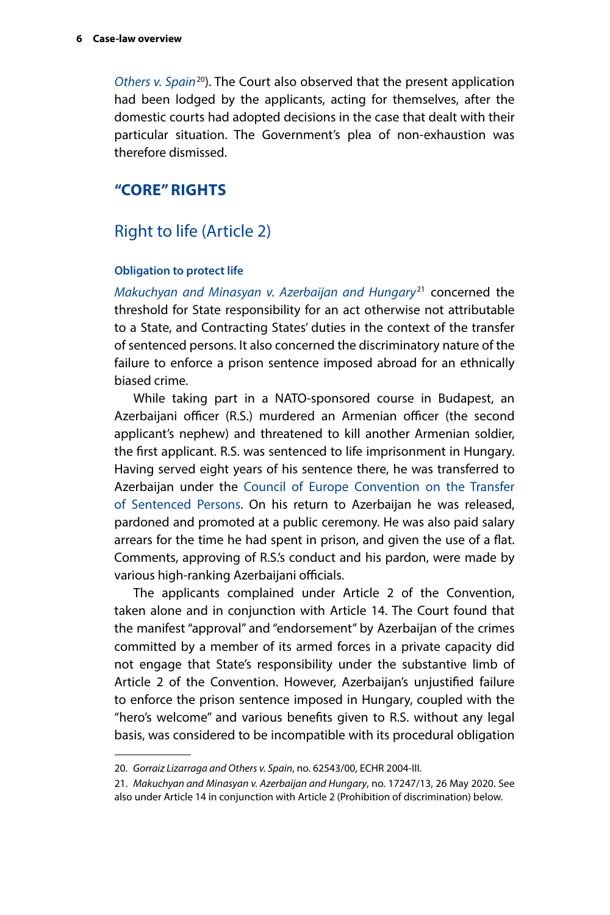<span id="page-9-0"></span>*[Others v. Spain](http://hudoc.echr.coe.int/eng?i=001-61731)*20). The Court also observed that the present application had been lodged by the applicants, acting for themselves, after the domestic courts had adopted decisions in the case that dealt with their particular situation. The Government's plea of non-exhaustion was therefore dismissed.

#### **"CORE" RIGHTS**

#### Right to life (Article 2)

#### **Obligation to protect life**

*[Makuchyan and Minasyan v. Azerbaijan and Hungary](http://hudoc.echr.coe.int/eng?i=001-202524)*21 concerned the threshold for State responsibility for an act otherwise not attributable to a State, and Contracting States' duties in the context of the transfer of sentenced persons. It also concerned the discriminatory nature of the failure to enforce a prison sentence imposed abroad for an ethnically biased crime.

While taking part in a NATO-sponsored course in Budapest, an Azerbaijani officer (R.S.) murdered an Armenian officer (the second applicant's nephew) and threatened to kill another Armenian soldier, the first applicant. R.S. was sentenced to life imprisonment in Hungary. Having served eight years of his sentence there, he was transferred to Azerbaijan under the [Council of Europe Convention on the Transfer](https://www.coe.int/en/web/conventions/full-list/-/conventions/treaty/112)  [of Sentenced Persons.](https://www.coe.int/en/web/conventions/full-list/-/conventions/treaty/112) On his return to Azerbaijan he was released, pardoned and promoted at a public ceremony. He was also paid salary arrears for the time he had spent in prison, and given the use of a flat. Comments, approving of R.S.'s conduct and his pardon, were made by various high-ranking Azerbaijani officials.

The applicants complained under Article 2 of the Convention, taken alone and in conjunction with Article 14. The Court found that the manifest "approval" and "endorsement" by Azerbaijan of the crimes committed by a member of its armed forces in a private capacity did not engage that State's responsibility under the substantive limb of Article 2 of the Convention. However, Azerbaijan's unjustified failure to enforce the prison sentence imposed in Hungary, coupled with the "hero's welcome" and various benefits given to R.S. without any legal basis, was considered to be incompatible with its procedural obligation

<sup>20.</sup> *Gorraiz Lizarraga and Others v. Spain*, no. 62543/00, ECHR 2004-III.

<sup>21.</sup> *Makuchyan and Minasyan v. Azerbaijan and Hungary*, no. 17247/13, 26 May 2020. See also under Article 14 in conjunction with Article 2 (Prohibition of discrimination) below.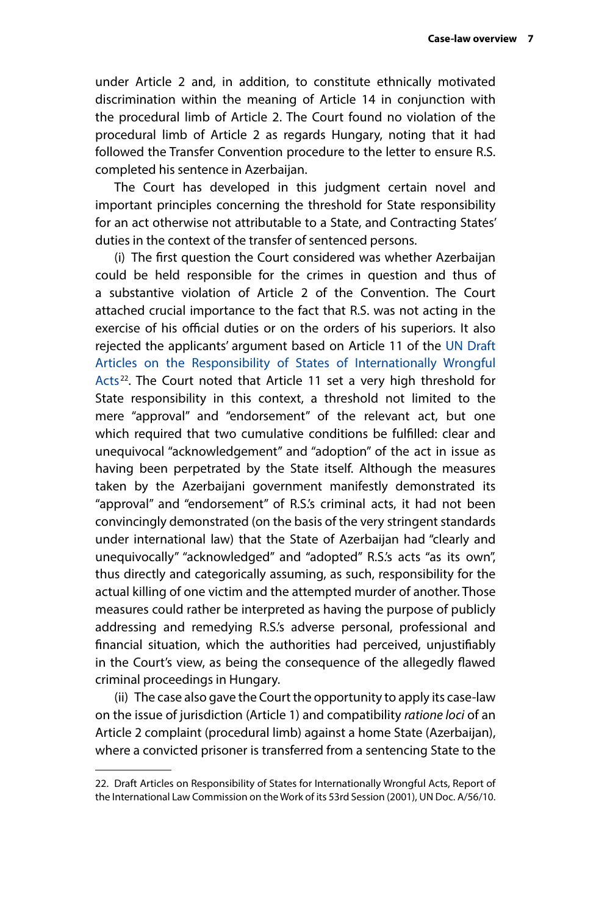under Article 2 and, in addition, to constitute ethnically motivated discrimination within the meaning of Article 14 in conjunction with the procedural limb of Article 2. The Court found no violation of the procedural limb of Article 2 as regards Hungary, noting that it had followed the Transfer Convention procedure to the letter to ensure R.S. completed his sentence in Azerbaijan.

The Court has developed in this judgment certain novel and important principles concerning the threshold for State responsibility for an act otherwise not attributable to a State, and Contracting States' duties in the context of the transfer of sentenced persons.

(i) The first question the Court considered was whether Azerbaijan could be held responsible for the crimes in question and thus of a substantive violation of Article 2 of the Convention. The Court attached crucial importance to the fact that R.S. was not acting in the exercise of his official duties or on the orders of his superiors. It also rejected the applicants' argument based on Article 11 of the [UN Draft](https://legal.un.org/ilc/texts/instruments/english/commentaries/9_6_2001.pdf)  [Articles on the Responsibility of States of Internationally Wrongful](https://legal.un.org/ilc/texts/instruments/english/commentaries/9_6_2001.pdf)  [Acts](https://legal.un.org/ilc/texts/instruments/english/commentaries/9_6_2001.pdf)<sup>22</sup>. The Court noted that Article 11 set a very high threshold for State responsibility in this context, a threshold not limited to the mere "approval" and "endorsement" of the relevant act, but one which required that two cumulative conditions be fulfilled: clear and unequivocal "acknowledgement" and "adoption" of the act in issue as having been perpetrated by the State itself. Although the measures taken by the Azerbaijani government manifestly demonstrated its "approval" and "endorsement" of R.S.'s criminal acts, it had not been convincingly demonstrated (on the basis of the very stringent standards under international law) that the State of Azerbaijan had "clearly and unequivocally" "acknowledged" and "adopted" R.S.'s acts "as its own", thus directly and categorically assuming, as such, responsibility for the actual killing of one victim and the attempted murder of another. Those measures could rather be interpreted as having the purpose of publicly addressing and remedying R.S.'s adverse personal, professional and financial situation, which the authorities had perceived, unjustifiably in the Court's view, as being the consequence of the allegedly flawed criminal proceedings in Hungary.

(ii) The case also gave the Court the opportunity to apply its case-law on the issue of jurisdiction (Article 1) and compatibility *ratione loci* of an Article 2 complaint (procedural limb) against a home State (Azerbaijan), where a convicted prisoner is transferred from a sentencing State to the

<sup>22.</sup> Draft Articles on Responsibility of States for Internationally Wrongful Acts, Report of the International Law Commission on the Work of its 53rd Session (2001), UN Doc. A/56/10.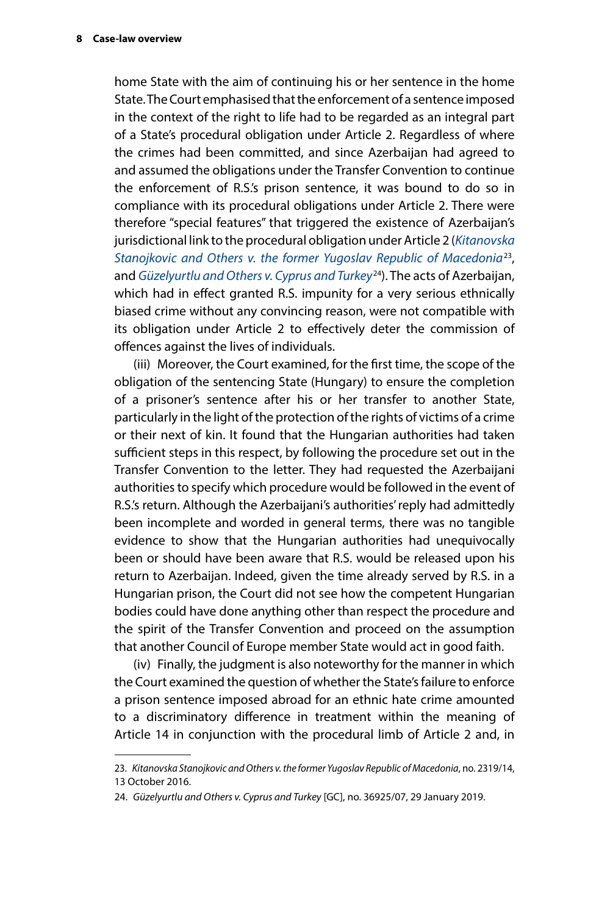home State with the aim of continuing his or her sentence in the home State. The Court emphasised that the enforcement of a sentence imposed in the context of the right to life had to be regarded as an integral part of a State's procedural obligation under Article 2. Regardless of where the crimes had been committed, and since Azerbaijan had agreed to and assumed the obligations under the Transfer Convention to continue the enforcement of R.S.'s prison sentence, it was bound to do so in compliance with its procedural obligations under Article 2. There were therefore "special features" that triggered the existence of Azerbaijan's jurisdictional link to the procedural obligation under Article 2 (*[Kitanovska](http://hudoc.echr.coe.int/eng?i=001-167126)  [Stanojkovic and Others v. the former Yugoslav Republic of Macedonia](http://hudoc.echr.coe.int/eng?i=001-167126)*23, and *[Güzelyurtlu and Others v. Cyprus and Turkey](http://hudoc.echr.coe.int/eng?i=001-189781)*24). The acts of Azerbaijan, which had in effect granted R.S. impunity for a very serious ethnically biased crime without any convincing reason, were not compatible with its obligation under Article 2 to effectively deter the commission of offences against the lives of individuals.

(iii) Moreover, the Court examined, for the first time, the scope of the obligation of the sentencing State (Hungary) to ensure the completion of a prisoner's sentence after his or her transfer to another State, particularly in the light of the protection of the rights of victims of a crime or their next of kin. It found that the Hungarian authorities had taken sufficient steps in this respect, by following the procedure set out in the Transfer Convention to the letter. They had requested the Azerbaijani authorities to specify which procedure would be followed in the event of R.S.'s return. Although the Azerbaijani's authorities' reply had admittedly been incomplete and worded in general terms, there was no tangible evidence to show that the Hungarian authorities had unequivocally been or should have been aware that R.S. would be released upon his return to Azerbaijan. Indeed, given the time already served by R.S. in a Hungarian prison, the Court did not see how the competent Hungarian bodies could have done anything other than respect the procedure and the spirit of the Transfer Convention and proceed on the assumption that another Council of Europe member State would act in good faith.

(iv) Finally, the judgment is also noteworthy for the manner in which the Court examined the question of whether the State's failure to enforce a prison sentence imposed abroad for an ethnic hate crime amounted to a discriminatory difference in treatment within the meaning of Article 14 in conjunction with the procedural limb of Article 2 and, in

<sup>23.</sup> *Kitanovska Stanojkovic and Others v. the former Yugoslav Republic of Macedonia*, no. 2319/14, 13 October 2016.

<sup>24.</sup> *Güzelyurtlu and Others v. Cyprus and Turkey* [GC], no. 36925/07, 29 January 2019.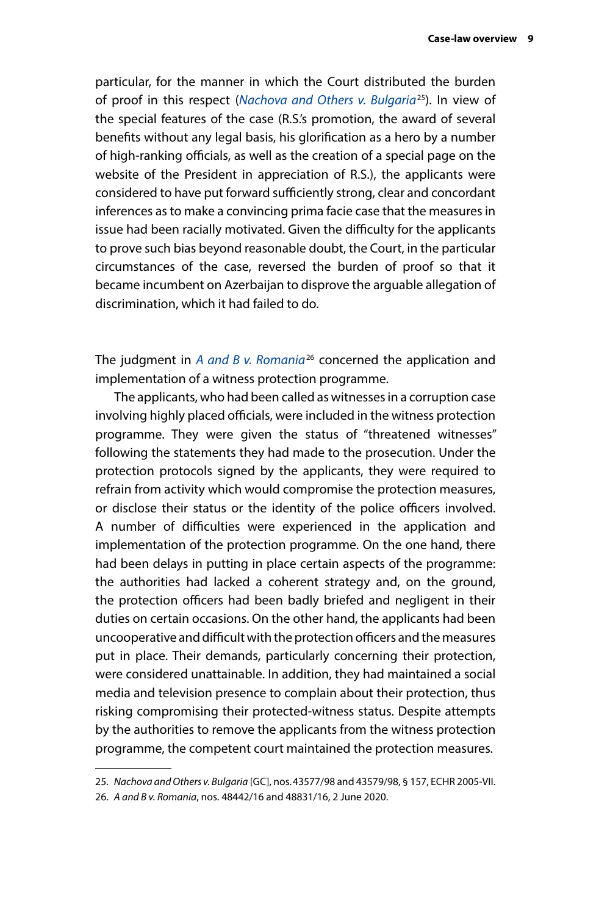particular, for the manner in which the Court distributed the burden of proof in this respect (*[Nachova and Others v. Bulgaria](http://hudoc.echr.coe.int/eng?i=001-69630)*25). In view of the special features of the case (R.S.'s promotion, the award of several benefits without any legal basis, his glorification as a hero by a number of high-ranking officials, as well as the creation of a special page on the website of the President in appreciation of R.S.), the applicants were considered to have put forward sufficiently strong, clear and concordant inferences as to make a convincing prima facie case that the measures in issue had been racially motivated. Given the difficulty for the applicants to prove such bias beyond reasonable doubt, the Court, in the particular circumstances of the case, reversed the burden of proof so that it became incumbent on Azerbaijan to disprove the arguable allegation of discrimination, which it had failed to do.

The judgment in *[A and B v. Romania](http://hudoc.echr.coe.int/eng?i=001-202621)*26 concerned the application and implementation of a witness protection programme.

The applicants, who had been called as witnesses in a corruption case involving highly placed officials, were included in the witness protection programme. They were given the status of "threatened witnesses" following the statements they had made to the prosecution. Under the protection protocols signed by the applicants, they were required to refrain from activity which would compromise the protection measures, or disclose their status or the identity of the police officers involved. A number of difficulties were experienced in the application and implementation of the protection programme. On the one hand, there had been delays in putting in place certain aspects of the programme: the authorities had lacked a coherent strategy and, on the ground, the protection officers had been badly briefed and negligent in their duties on certain occasions. On the other hand, the applicants had been uncooperative and difficult with the protection officers and the measures put in place. Their demands, particularly concerning their protection, were considered unattainable. In addition, they had maintained a social media and television presence to complain about their protection, thus risking compromising their protected-witness status. Despite attempts by the authorities to remove the applicants from the witness protection programme, the competent court maintained the protection measures.

<sup>25.</sup> *Nachova and Others v. Bulgaria* [GC], nos.43577/98 and 43579/98, § 157, ECHR 2005-VII.

<sup>26.</sup> *A and B v. Romania*, nos. 48442/16 and 48831/16, 2 June 2020.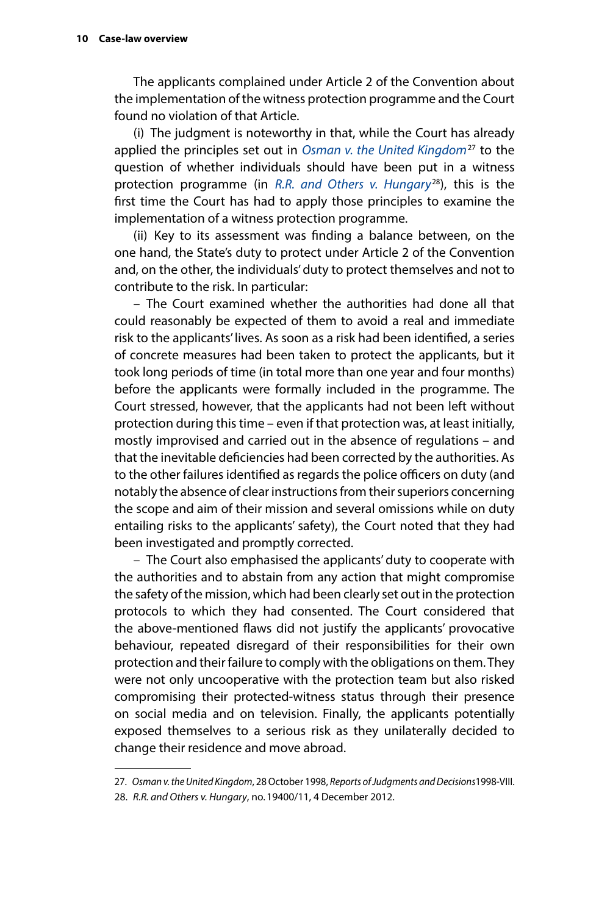The applicants complained under Article 2 of the Convention about the implementation of the witness protection programme and the Court found no violation of that Article.

(i) The judgment is noteworthy in that, while the Court has already applied the principles set out in *[Osman v. the United Kingdom](http://hudoc.echr.coe.int/eng?i=001-58257)*27 to the question of whether individuals should have been put in a witness protection programme (in *[R.R. and Others v. Hungary](http://hudoc.echr.coe.int/eng?i=001-115019)*28), this is the first time the Court has had to apply those principles to examine the implementation of a witness protection programme.

(ii) Key to its assessment was finding a balance between, on the one hand, the State's duty to protect under Article 2 of the Convention and, on the other, the individuals' duty to protect themselves and not to contribute to the risk. In particular:

– The Court examined whether the authorities had done all that could reasonably be expected of them to avoid a real and immediate risk to the applicants' lives. As soon as a risk had been identified, a series of concrete measures had been taken to protect the applicants, but it took long periods of time (in total more than one year and four months) before the applicants were formally included in the programme. The Court stressed, however, that the applicants had not been left without protection during this time – even if that protection was, at least initially, mostly improvised and carried out in the absence of regulations – and that the inevitable deficiencies had been corrected by the authorities. As to the other failures identified as regards the police officers on duty (and notably the absence of clear instructions from their superiors concerning the scope and aim of their mission and several omissions while on duty entailing risks to the applicants' safety), the Court noted that they had been investigated and promptly corrected.

– The Court also emphasised the applicants' duty to cooperate with the authorities and to abstain from any action that might compromise the safety of the mission, which had been clearly set out in the protection protocols to which they had consented. The Court considered that the above-mentioned flaws did not justify the applicants' provocative behaviour, repeated disregard of their responsibilities for their own protection and their failure to comply with the obligations on them. They were not only uncooperative with the protection team but also risked compromising their protected-witness status through their presence on social media and on television. Finally, the applicants potentially exposed themselves to a serious risk as they unilaterally decided to change their residence and move abroad.

- 27. *Osman v. the United Kingdom*, 28 October 1998, *Reports of Judgments and Decisions*1998-VIII.
- 28. *R.R. and Others v. Hungary*, no.19400/11, 4 December 2012.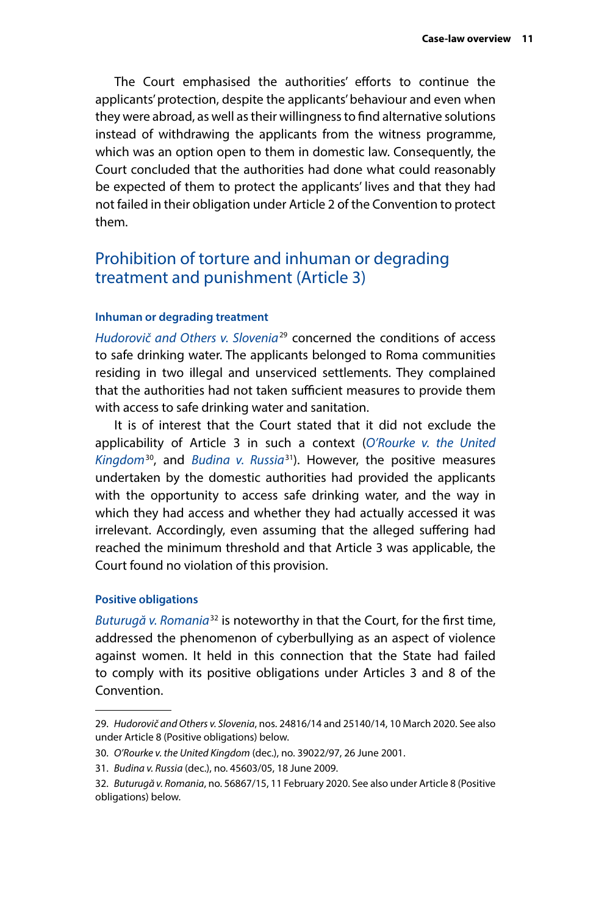<span id="page-14-0"></span>The Court emphasised the authorities' efforts to continue the applicants' protection, despite the applicants' behaviour and even when they were abroad, as well as their willingness to find alternative solutions instead of withdrawing the applicants from the witness programme, which was an option open to them in domestic law. Consequently, the Court concluded that the authorities had done what could reasonably be expected of them to protect the applicants' lives and that they had not failed in their obligation under Article 2 of the Convention to protect them.

## Prohibition of torture and inhuman or degrading treatment and punishment (Article 3)

#### **Inhuman or degrading treatment**

*[Hudorovič and Others v. Slovenia](http://hudoc.echr.coe.int/eng?i=001-201646)*29 concerned the conditions of access to safe drinking water. The applicants belonged to Roma communities residing in two illegal and unserviced settlements. They complained that the authorities had not taken sufficient measures to provide them with access to safe drinking water and sanitation.

It is of interest that the Court stated that it did not exclude the applicability of Article 3 in such a context (*[O'Rourke v. the United](http://hudoc.echr.coe.int/eng?i=001-5933)  [Kingdom](http://hudoc.echr.coe.int/eng?i=001-5933)*30, and *[Budina v. Russia](http://hudoc.echr.coe.int/eng?i=001-93434)*31). However, the positive measures undertaken by the domestic authorities had provided the applicants with the opportunity to access safe drinking water, and the way in which they had access and whether they had actually accessed it was irrelevant. Accordingly, even assuming that the alleged suffering had reached the minimum threshold and that Article 3 was applicable, the Court found no violation of this provision.

#### **Positive obligations**

*[Buturugă v. Romania](http://hudoc.echr.coe.int/eng?i=001-201342)*32 is noteworthy in that the Court, for the first time, addressed the phenomenon of cyberbullying as an aspect of violence against women. It held in this connection that the State had failed to comply with its positive obligations under Articles 3 and 8 of the Convention.

<sup>29.</sup> *Hudorovič and Others v. Slovenia*, nos. 24816/14 and 25140/14, 10 March 2020. See also under Article 8 (Positive obligations) below.

<sup>30.</sup> *O'Rourke v. the United Kingdom* (dec.), no. 39022/97, 26 June 2001.

<sup>31.</sup> *Budina v. Russia* (dec.), no. 45603/05, 18 June 2009.

<sup>32.</sup> *Buturugă v. Romania*, no. 56867/15, 11 February 2020. See also under Article 8 (Positive obligations) below.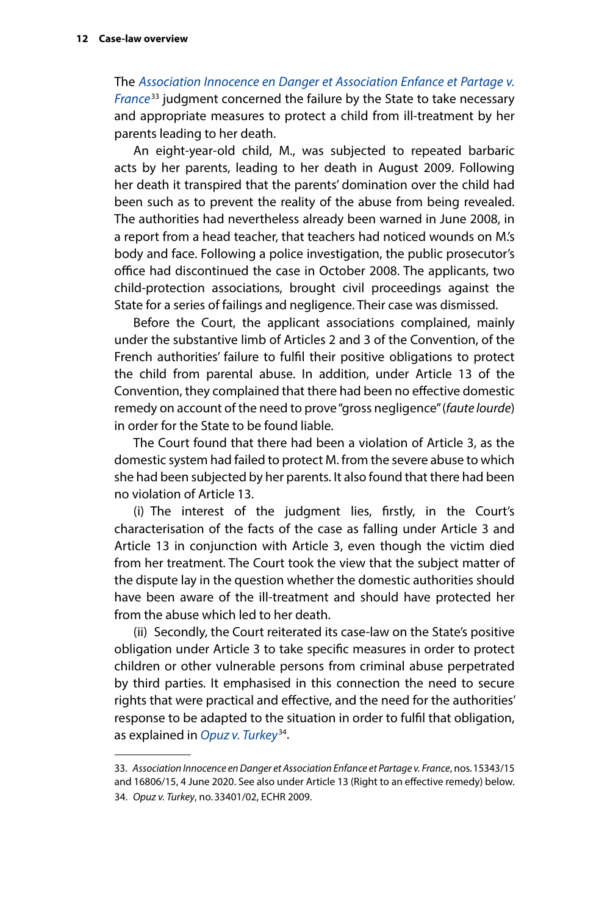The *[Association Innocence en Danger et Association Enfance et Partage v.](http://hudoc.echr.coe.int/eng?i=001-203033)  [France](http://hudoc.echr.coe.int/eng?i=001-203033)*33 judgment concerned the failure by the State to take necessary and appropriate measures to protect a child from ill-treatment by her parents leading to her death.

An eight-year-old child, M., was subjected to repeated barbaric acts by her parents, leading to her death in August 2009. Following her death it transpired that the parents' domination over the child had been such as to prevent the reality of the abuse from being revealed. The authorities had nevertheless already been warned in June 2008, in a report from a head teacher, that teachers had noticed wounds on M.'s body and face. Following a police investigation, the public prosecutor's office had discontinued the case in October 2008. The applicants, two child-protection associations, brought civil proceedings against the State for a series of failings and negligence. Their case was dismissed.

Before the Court, the applicant associations complained, mainly under the substantive limb of Articles 2 and 3 of the Convention, of the French authorities' failure to fulfil their positive obligations to protect the child from parental abuse. In addition, under Article 13 of the Convention, they complained that there had been no effective domestic remedy on account of the need to prove "gross negligence" (*faute lourde*) in order for the State to be found liable.

The Court found that there had been a violation of Article 3, as the domestic system had failed to protect M. from the severe abuse to which she had been subjected by her parents. It also found that there had been no violation of Article 13.

(i) The interest of the judgment lies, firstly, in the Court's characterisation of the facts of the case as falling under Article 3 and Article 13 in conjunction with Article 3, even though the victim died from her treatment. The Court took the view that the subject matter of the dispute lay in the question whether the domestic authorities should have been aware of the ill-treatment and should have protected her from the abuse which led to her death.

(ii) Secondly, the Court reiterated its case-law on the State's positive obligation under Article 3 to take specific measures in order to protect children or other vulnerable persons from criminal abuse perpetrated by third parties. It emphasised in this connection the need to secure rights that were practical and effective, and the need for the authorities' response to be adapted to the situation in order to fulfil that obligation, as explained in *[Opuz v. Turkey](http://hudoc.echr.coe.int/eng?i=001-92945)*34.

<sup>33.</sup> *Association Innocence en Danger et Association Enfance et Partage v. France*, nos.15343/15 and 16806/15, 4 June 2020. See also under Article 13 (Right to an effective remedy) below. 34. *Opuz v. Turkey*, no.33401/02, ECHR 2009.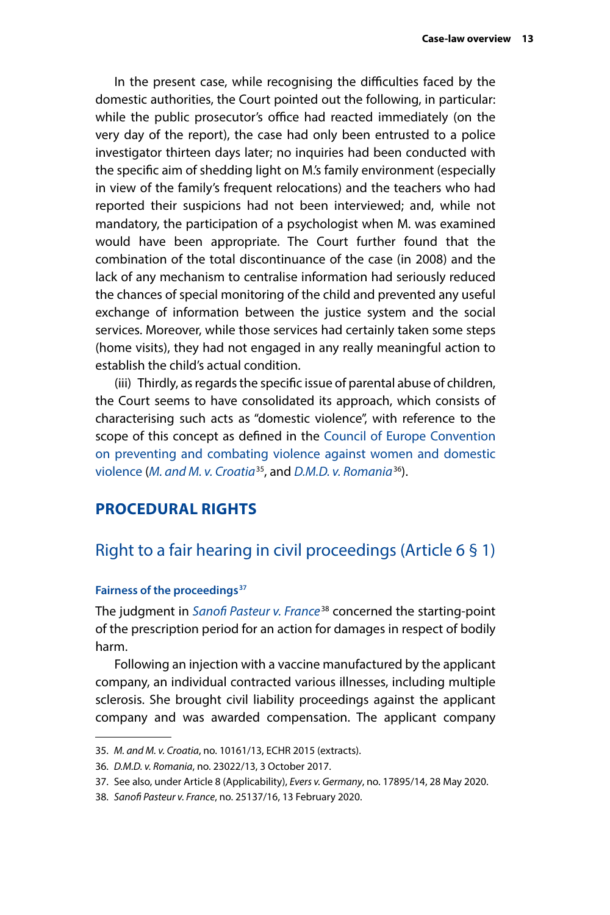<span id="page-16-0"></span>In the present case, while recognising the difficulties faced by the domestic authorities, the Court pointed out the following, in particular: while the public prosecutor's office had reacted immediately (on the very day of the report), the case had only been entrusted to a police investigator thirteen days later; no inquiries had been conducted with the specific aim of shedding light on M.'s family environment (especially in view of the family's frequent relocations) and the teachers who had reported their suspicions had not been interviewed; and, while not mandatory, the participation of a psychologist when M. was examined would have been appropriate. The Court further found that the combination of the total discontinuance of the case (in 2008) and the lack of any mechanism to centralise information had seriously reduced the chances of special monitoring of the child and prevented any useful exchange of information between the justice system and the social services. Moreover, while those services had certainly taken some steps (home visits), they had not engaged in any really meaningful action to establish the child's actual condition.

(iii) Thirdly, as regards the specific issue of parental abuse of children, the Court seems to have consolidated its approach, which consists of characterising such acts as "domestic violence", with reference to the scope of this concept as defined in the [Council of Europe Convention](https://www.coe.int/en/web/conventions/full-list/-/conventions/treaty/210)  [on preventing and combating violence against women and domestic](https://www.coe.int/en/web/conventions/full-list/-/conventions/treaty/210)  [violence](https://www.coe.int/en/web/conventions/full-list/-/conventions/treaty/210) (*[M. and M. v. Croatia](http://hudoc.echr.coe.int/eng?i=001-156522)*35, and *[D.M.D. v. Romania](http://hudoc.echr.coe.int/eng?i=001-177226)*36).

#### **PROCEDURAL RIGHTS**

#### Right to a fair hearing in civil proceedings (Article 6 § 1)

#### Fairness of the proceedings<sup>37</sup>

The judgment in *[Sanofi Pasteur v. France](http://hudoc.echr.coe.int/eng?i=001-201432)*38 concerned the starting-point of the prescription period for an action for damages in respect of bodily harm.

Following an injection with a vaccine manufactured by the applicant company, an individual contracted various illnesses, including multiple sclerosis. She brought civil liability proceedings against the applicant company and was awarded compensation. The applicant company

<sup>35.</sup> *M. and M. v. Croatia*, no. 10161/13, ECHR 2015 (extracts).

<sup>36.</sup> *D.M.D. v. Romania*, no. 23022/13, 3 October 2017.

<sup>37.</sup> See also, under Article 8 (Applicability), *Evers v. Germany*, no. 17895/14, 28 May 2020.

<sup>38.</sup> *Sanofi Pasteur v. France*, no. 25137/16, 13 February 2020.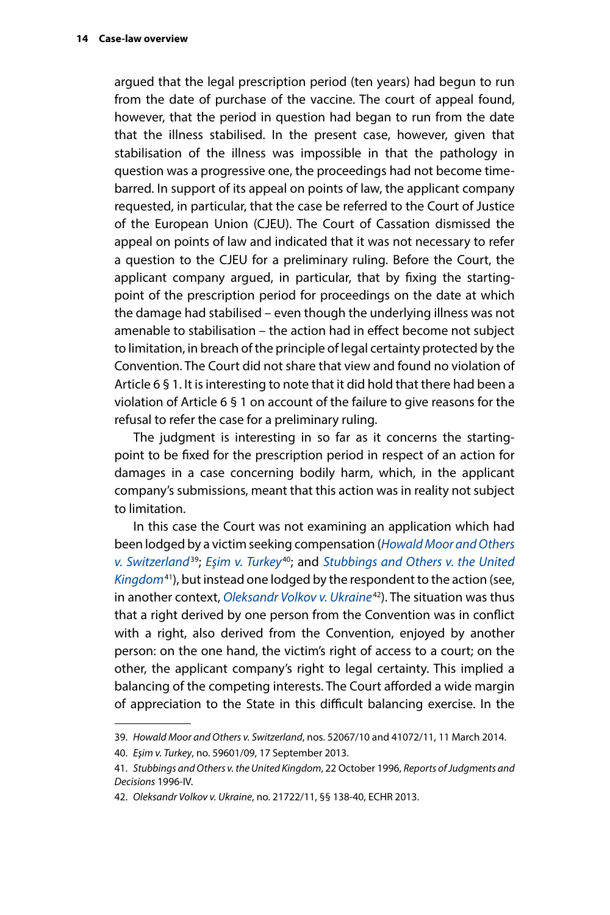argued that the legal prescription period (ten years) had begun to run from the date of purchase of the vaccine. The court of appeal found, however, that the period in question had began to run from the date that the illness stabilised. In the present case, however, given that stabilisation of the illness was impossible in that the pathology in question was a progressive one, the proceedings had not become timebarred. In support of its appeal on points of law, the applicant company requested, in particular, that the case be referred to the Court of Justice of the European Union (CJEU). The Court of Cassation dismissed the appeal on points of law and indicated that it was not necessary to refer a question to the CJEU for a preliminary ruling. Before the Court, the applicant company argued, in particular, that by fixing the startingpoint of the prescription period for proceedings on the date at which the damage had stabilised – even though the underlying illness was not amenable to stabilisation – the action had in effect become not subject to limitation, in breach of the principle of legal certainty protected by the Convention. The Court did not share that view and found no violation of Article 6 § 1. It is interesting to note that it did hold that there had been a violation of Article 6 § 1 on account of the failure to give reasons for the refusal to refer the case for a preliminary ruling.

The judgment is interesting in so far as it concerns the startingpoint to be fixed for the prescription period in respect of an action for damages in a case concerning bodily harm, which, in the applicant company's submissions, meant that this action was in reality not subject to limitation.

In this case the Court was not examining an application which had been lodged by a victim seeking compensation (*[Howald Moor and Others](http://hudoc.echr.coe.int/eng?i=001-141952)  [v. Switzerland](http://hudoc.echr.coe.int/eng?i=001-141952)*39; *[Eşim v. Turkey](http://hudoc.echr.coe.int/eng?i=001-126355)*40; and *[Stubbings and Others v. the United](http://hudoc.echr.coe.int/eng?i=001-58079)  [Kingdom](http://hudoc.echr.coe.int/eng?i=001-58079)*41), but instead one lodged by the respondent to the action (see, in another context, *[Oleksandr Volkov v. Ukraine](http://hudoc.echr.coe.int/eng?i=001-115871)*42). The situation was thus that a right derived by one person from the Convention was in conflict with a right, also derived from the Convention, enjoyed by another person: on the one hand, the victim's right of access to a court; on the other, the applicant company's right to legal certainty. This implied a balancing of the competing interests. The Court afforded a wide margin of appreciation to the State in this difficult balancing exercise. In the

<sup>39.</sup> *Howald Moor and Others v. Switzerland*, nos. 52067/10 and 41072/11, 11 March 2014.

<sup>40.</sup> *Eşim v. Turkey*, no. 59601/09, 17 September 2013.

<sup>41.</sup> *Stubbings and Others v. the United Kingdom*, 22 October 1996, *Reports of Judgments and Decisions* 1996-IV.

<sup>42.</sup> *Oleksandr Volkov v. Ukraine*, no. 21722/11, §§ 138-40, ECHR 2013.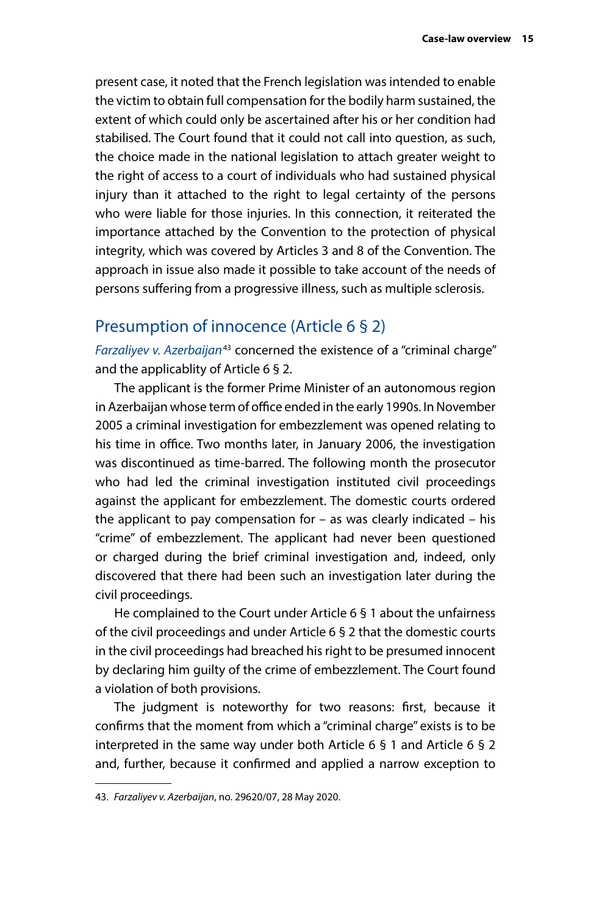<span id="page-18-0"></span>present case, it noted that the French legislation was intended to enable the victim to obtain full compensation for the bodily harm sustained, the extent of which could only be ascertained after his or her condition had stabilised. The Court found that it could not call into question, as such, the choice made in the national legislation to attach greater weight to the right of access to a court of individuals who had sustained physical injury than it attached to the right to legal certainty of the persons who were liable for those injuries. In this connection, it reiterated the importance attached by the Convention to the protection of physical integrity, which was covered by Articles 3 and 8 of the Convention. The approach in issue also made it possible to take account of the needs of persons suffering from a progressive illness, such as multiple sclerosis.

## Presumption of innocence (Article 6 § 2)

*[Farzaliyev v. Azerbaijan](http://hudoc.echr.coe.int/eng?i=001-202532)*43 concerned the existence of a "criminal charge" and the applicablity of Article 6 § 2.

The applicant is the former Prime Minister of an autonomous region in Azerbaijan whose term of office ended in the early 1990s. In November 2005 a criminal investigation for embezzlement was opened relating to his time in office. Two months later, in January 2006, the investigation was discontinued as time-barred. The following month the prosecutor who had led the criminal investigation instituted civil proceedings against the applicant for embezzlement. The domestic courts ordered the applicant to pay compensation for  $-$  as was clearly indicated  $-$  his "crime" of embezzlement. The applicant had never been questioned or charged during the brief criminal investigation and, indeed, only discovered that there had been such an investigation later during the civil proceedings.

He complained to the Court under Article 6 § 1 about the unfairness of the civil proceedings and under Article 6 § 2 that the domestic courts in the civil proceedings had breached his right to be presumed innocent by declaring him guilty of the crime of embezzlement. The Court found a violation of both provisions.

The judgment is noteworthy for two reasons: first, because it confirms that the moment from which a "criminal charge" exists is to be interpreted in the same way under both Article 6 § 1 and Article 6 § 2 and, further, because it confirmed and applied a narrow exception to

<sup>43.</sup> *Farzaliyev v. Azerbaijan*, no. 29620/07, 28 May 2020.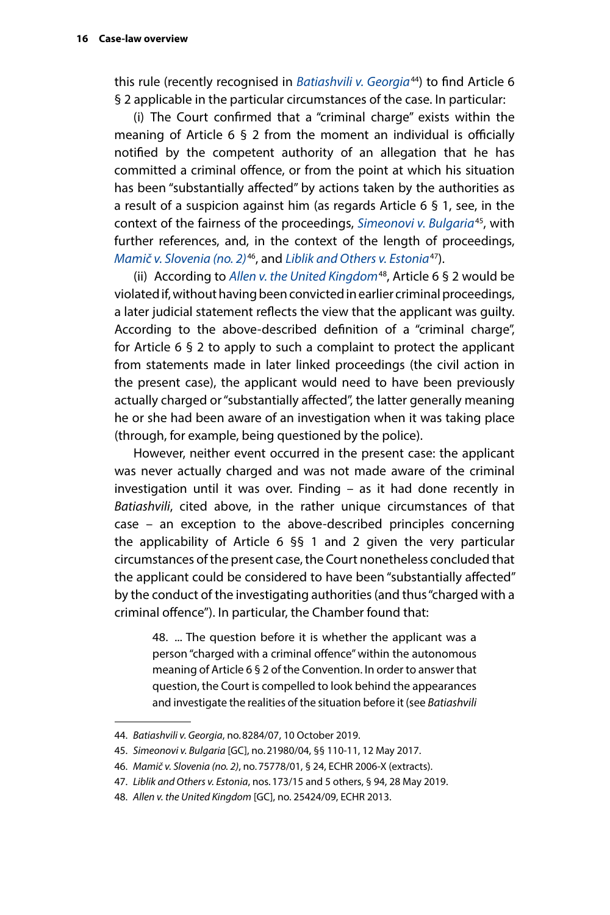this rule (recently recognised in *[Batiashvili v. Georgia](http://hudoc.echr.coe.int/eng?i=001-196374)*44) to find Article 6 § 2 applicable in the particular circumstances of the case. In particular:

(i) The Court confirmed that a "criminal charge" exists within the meaning of Article 6 § 2 from the moment an individual is officially notified by the competent authority of an allegation that he has committed a criminal offence, or from the point at which his situation has been "substantially affected" by actions taken by the authorities as a result of a suspicion against him (as regards Article 6 § 1, see, in the context of the fairness of the proceedings, *[Simeonovi v. Bulgaria](http://hudoc.echr.coe.int/eng?i=001-172963)*45, with further references, and, in the context of the length of proceedings, *[Mamič v. Slovenia \(no. 2\)](http://hudoc.echr.coe.int/eng?i=001-76495)*46, and *[Liblik and Others v. Estonia](http://hudoc.echr.coe.int/eng?i=001-193251)*47).

(ii) According to *[Allen v. the United Kingdom](http://hudoc.echr.coe.int/eng?i=001-122859)*48, Article 6 § 2 would be violated if, without having been convicted in earlier criminal proceedings, a later judicial statement reflects the view that the applicant was guilty. According to the above-described definition of a "criminal charge", for Article 6 § 2 to apply to such a complaint to protect the applicant from statements made in later linked proceedings (the civil action in the present case), the applicant would need to have been previously actually charged or "substantially affected", the latter generally meaning he or she had been aware of an investigation when it was taking place (through, for example, being questioned by the police).

However, neither event occurred in the present case: the applicant was never actually charged and was not made aware of the criminal investigation until it was over. Finding – as it had done recently in *Batiashvili*, cited above, in the rather unique circumstances of that case – an exception to the above-described principles concerning the applicability of Article 6 §§ 1 and 2 given the very particular circumstances of the present case, the Court nonetheless concluded that the applicant could be considered to have been "substantially affected" by the conduct of the investigating authorities (and thus "charged with a criminal offence"). In particular, the Chamber found that:

48. ... The question before it is whether the applicant was a person "charged with a criminal offence" within the autonomous meaning of Article 6 § 2 of the Convention. In order to answer that question, the Court is compelled to look behind the appearances and investigate the realities of the situation before it (see *Batiashvili* 

<sup>44.</sup> *Batiashvili v. Georgia*, no.8284/07, 10 October 2019.

<sup>45.</sup> *Simeonovi v. Bulgaria* [GC], no.21980/04, §§ 110-11, 12 May 2017.

<sup>46.</sup> *Mamič v. Slovenia (no. 2)*, no.75778/01, § 24, ECHR 2006-X (extracts).

<sup>47.</sup> *Liblik and Others v. Estonia*, nos.173/15 and 5 others, § 94, 28 May 2019.

<sup>48.</sup> *Allen v. the United Kingdom* [GC], no. 25424/09, ECHR 2013.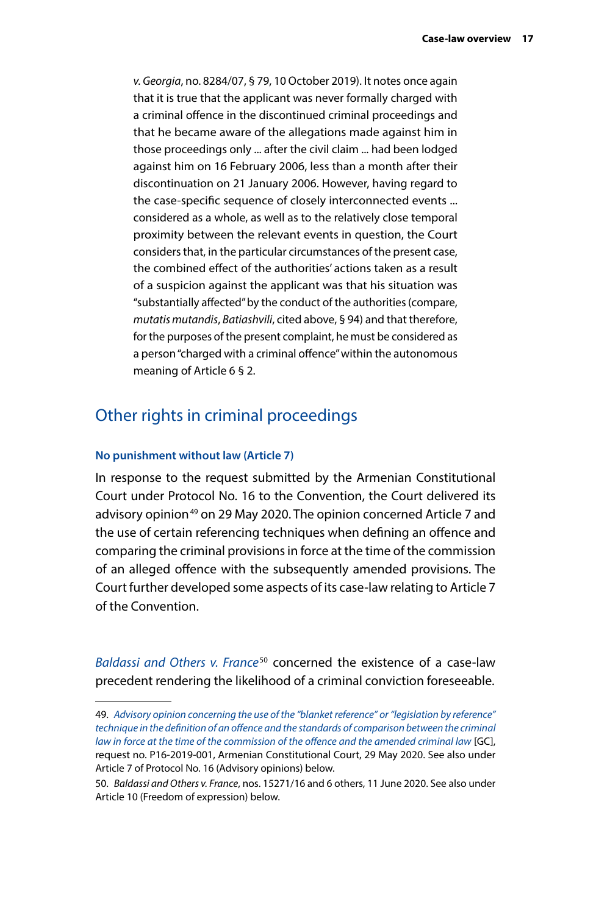<span id="page-20-0"></span>*v. Georgia*, no. 8284/07, § 79, 10 October 2019). It notes once again that it is true that the applicant was never formally charged with a criminal offence in the discontinued criminal proceedings and that he became aware of the allegations made against him in those proceedings only ... after the civil claim ... had been lodged against him on 16 February 2006, less than a month after their discontinuation on 21 January 2006. However, having regard to the case-specific sequence of closely interconnected events ... considered as a whole, as well as to the relatively close temporal proximity between the relevant events in question, the Court considers that, in the particular circumstances of the present case, the combined effect of the authorities' actions taken as a result of a suspicion against the applicant was that his situation was "substantially affected" by the conduct of the authorities (compare, *mutatis mutandis*, *Batiashvili*, cited above, § 94) and that therefore, for the purposes of the present complaint, he must be considered as a person "charged with a criminal offence" within the autonomous meaning of Article 6 § 2.

## Other rights in criminal proceedings

#### **No punishment without law (Article 7)**

In response to the request submitted by the Armenian Constitutional Court under Protocol No. 16 to the Convention, the Court delivered its advisory opinion<sup>49</sup> on 29 May 2020. The opinion concerned Article 7 and the use of certain referencing techniques when defining an offence and comparing the criminal provisions in force at the time of the commission of an alleged offence with the subsequently amended provisions. The Court further developed some aspects of its case-law relating to Article 7 of the Convention.

*[Baldassi and Others v. France](http://hudoc.echr.coe.int/eng?i=001-203213)*50 concerned the existence of a case-law precedent rendering the likelihood of a criminal conviction foreseeable.

<sup>49.</sup> *[Advisory opinion concerning the use of the "blanket reference" or "legislation by reference"](http://hudoc.echr.coe.int/eng?i=003-6708535-8973165)  [technique in the definition of an offence and the standards of comparison between the criminal](http://hudoc.echr.coe.int/eng?i=003-6708535-8973165)  [law in force at the time of the commission of the offence and the amended criminal law](http://hudoc.echr.coe.int/eng?i=003-6708535-8973165)* [GC], request no. P16-2019-001, Armenian Constitutional Court, 29 May 2020. See also under Article 7 of Protocol No. 16 (Advisory opinions) below.

<sup>50.</sup> *Baldassi and Others v. France*, nos. 15271/16 and 6 others, 11 June 2020. See also under Article 10 (Freedom of expression) below.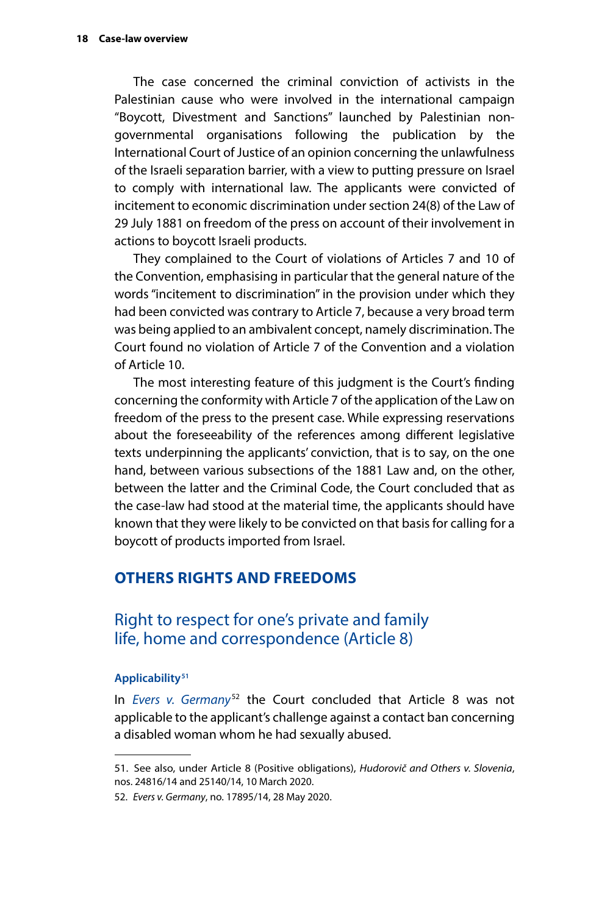<span id="page-21-0"></span>The case concerned the criminal conviction of activists in the Palestinian cause who were involved in the international campaign "Boycott, Divestment and Sanctions" launched by Palestinian nongovernmental organisations following the publication by the International Court of Justice of an opinion concerning the unlawfulness of the Israeli separation barrier, with a view to putting pressure on Israel to comply with international law. The applicants were convicted of incitement to economic discrimination under section 24(8) of the Law of 29 July 1881 on freedom of the press on account of their involvement in actions to boycott Israeli products.

They complained to the Court of violations of Articles 7 and 10 of the Convention, emphasising in particular that the general nature of the words "incitement to discrimination" in the provision under which they had been convicted was contrary to Article 7, because a very broad term was being applied to an ambivalent concept, namely discrimination. The Court found no violation of Article 7 of the Convention and a violation of Article 10.

The most interesting feature of this judgment is the Court's finding concerning the conformity with Article 7 of the application of the Law on freedom of the press to the present case. While expressing reservations about the foreseeability of the references among different legislative texts underpinning the applicants' conviction, that is to say, on the one hand, between various subsections of the 1881 Law and, on the other, between the latter and the Criminal Code, the Court concluded that as the case-law had stood at the material time, the applicants should have known that they were likely to be convicted on that basis for calling for a boycott of products imported from Israel.

#### **OTHERS RIGHTS AND FREEDOMS**

## Right to respect for one's private and family life, home and correspondence (Article 8)

#### **Applicability51**

In *[Evers v. Germany](http://hudoc.echr.coe.int/eng?i=001-202527)*52 the Court concluded that Article 8 was not applicable to the applicant's challenge against a contact ban concerning a disabled woman whom he had sexually abused.

<sup>51.</sup> See also, under Article 8 (Positive obligations), *Hudorovič and Others v. Slovenia*, nos. 24816/14 and 25140/14, 10 March 2020.

<sup>52.</sup> *Evers v. Germany*, no. 17895/14, 28 May 2020.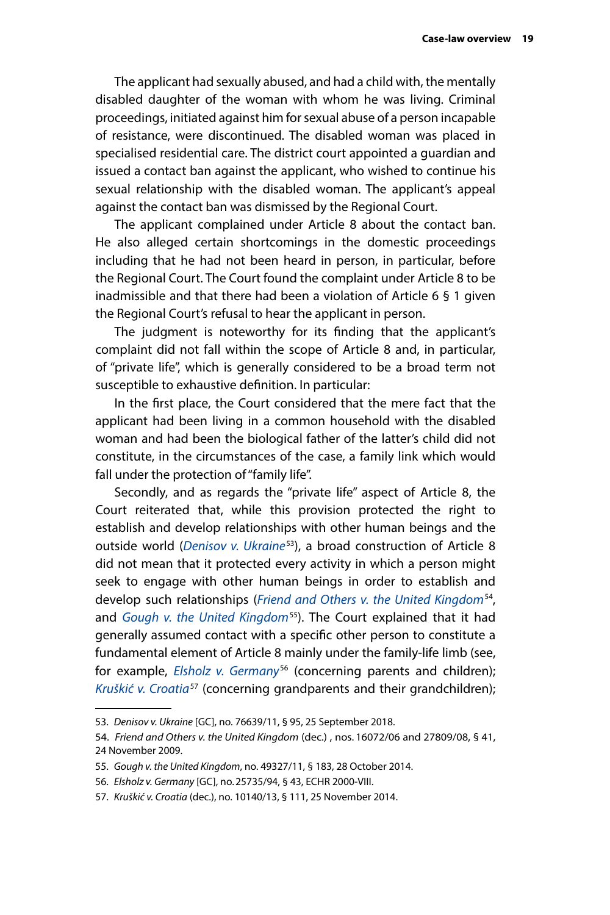The applicant had sexually abused, and had a child with, the mentally disabled daughter of the woman with whom he was living. Criminal proceedings, initiated against him for sexual abuse of a person incapable of resistance, were discontinued. The disabled woman was placed in specialised residential care. The district court appointed a guardian and issued a contact ban against the applicant, who wished to continue his sexual relationship with the disabled woman. The applicant's appeal against the contact ban was dismissed by the Regional Court.

The applicant complained under Article 8 about the contact ban. He also alleged certain shortcomings in the domestic proceedings including that he had not been heard in person, in particular, before the Regional Court. The Court found the complaint under Article 8 to be inadmissible and that there had been a violation of Article 6 § 1 given the Regional Court's refusal to hear the applicant in person.

The judgment is noteworthy for its finding that the applicant's complaint did not fall within the scope of Article 8 and, in particular, of "private life", which is generally considered to be a broad term not susceptible to exhaustive definition. In particular:

In the first place, the Court considered that the mere fact that the applicant had been living in a common household with the disabled woman and had been the biological father of the latter's child did not constitute, in the circumstances of the case, a family link which would fall under the protection of "family life".

Secondly, and as regards the "private life" aspect of Article 8, the Court reiterated that, while this provision protected the right to establish and develop relationships with other human beings and the outside world (*[Denisov v. Ukraine](http://hudoc.echr.coe.int/eng?i=001-186216)*53), a broad construction of Article 8 did not mean that it protected every activity in which a person might seek to engage with other human beings in order to establish and develop such relationships (*[Friend and Others v. the United Kingdom](http://hudoc.echr.coe.int/eng?i=001-96372)*54, and *[Gough v. the United Kingdom](http://hudoc.echr.coe.int/eng?i=001-147623)*55). The Court explained that it had generally assumed contact with a specific other person to constitute a fundamental element of Article 8 mainly under the family-life limb (see, for example, *[Elsholz v. Germany](http://hudoc.echr.coe.int/eng?i=001-58763)*<sup>56</sup> (concerning parents and children); *[Kruškić v. Croatia](http://hudoc.echr.coe.int/eng?i=001-149164)*57 (concerning grandparents and their grandchildren);

<sup>53.</sup> *Denisov v. Ukraine* [GC], no. 76639/11, § 95, 25 September 2018.

<sup>54.</sup> *Friend and Others v. the United Kingdom* (dec.) , nos. 16072/06 and 27809/08, § 41, 24 November 2009.

<sup>55.</sup> *Gough v. the United Kingdom*, no. 49327/11, § 183, 28 October 2014.

<sup>56.</sup> *Elsholz v. Germany* [GC], no.25735/94, § 43, ECHR 2000-VIII.

<sup>57.</sup> *Kruškić v. Croatia* (dec.), no. 10140/13, § 111, 25 November 2014.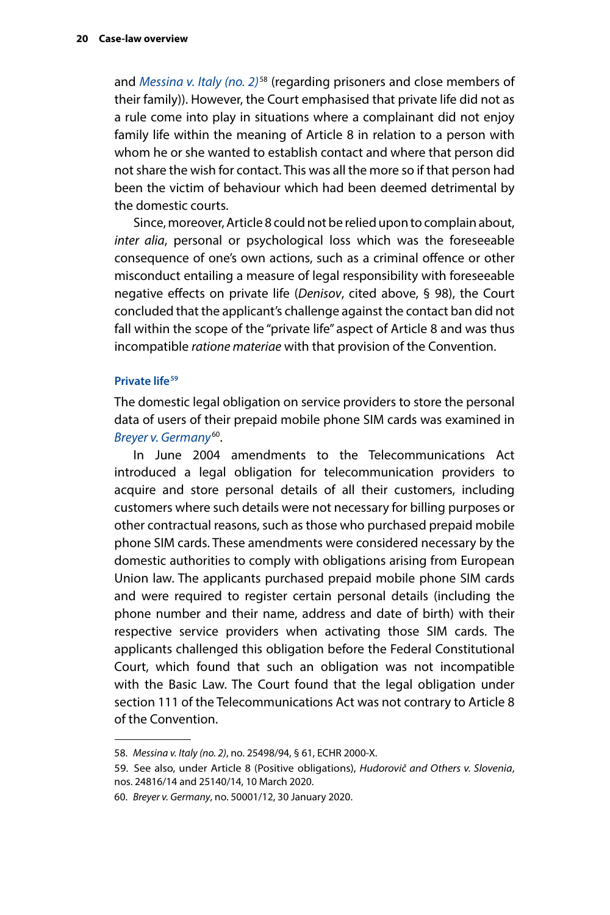<span id="page-23-0"></span>and *[Messina v. Italy \(no. 2\)](http://hudoc.echr.coe.int/eng?i=001-58818)*58 (regarding prisoners and close members of their family)). However, the Court emphasised that private life did not as a rule come into play in situations where a complainant did not enjoy family life within the meaning of Article 8 in relation to a person with whom he or she wanted to establish contact and where that person did not share the wish for contact. This was all the more so if that person had been the victim of behaviour which had been deemed detrimental by the domestic courts.

Since, moreover, Article 8 could not be relied upon to complain about, *inter alia*, personal or psychological loss which was the foreseeable consequence of one's own actions, such as a criminal offence or other misconduct entailing a measure of legal responsibility with foreseeable negative effects on private life (*Denisov*, cited above, § 98), the Court concluded that the applicant's challenge against the contact ban did not fall within the scope of the "private life" aspect of Article 8 and was thus incompatible *ratione materiae* with that provision of the Convention.

#### **Private life<sup>59</sup>**

The domestic legal obligation on service providers to store the personal data of users of their prepaid mobile phone SIM cards was examined in *[Breyer v. Germany](http://hudoc.echr.coe.int/eng?i=001-200442)*60.

In June 2004 amendments to the Telecommunications Act introduced a legal obligation for telecommunication providers to acquire and store personal details of all their customers, including customers where such details were not necessary for billing purposes or other contractual reasons, such as those who purchased prepaid mobile phone SIM cards. These amendments were considered necessary by the domestic authorities to comply with obligations arising from European Union law. The applicants purchased prepaid mobile phone SIM cards and were required to register certain personal details (including the phone number and their name, address and date of birth) with their respective service providers when activating those SIM cards. The applicants challenged this obligation before the Federal Constitutional Court, which found that such an obligation was not incompatible with the Basic Law. The Court found that the legal obligation under section 111 of the Telecommunications Act was not contrary to Article 8 of the Convention.

<sup>58.</sup> *Messina v. Italy (no. 2)*, no. 25498/94, § 61, ECHR 2000-X.

<sup>59.</sup> See also, under Article 8 (Positive obligations), *Hudorovič and Others v. Slovenia*, nos. 24816/14 and 25140/14, 10 March 2020.

<sup>60.</sup> *Breyer v. Germany*, no. 50001/12, 30 January 2020.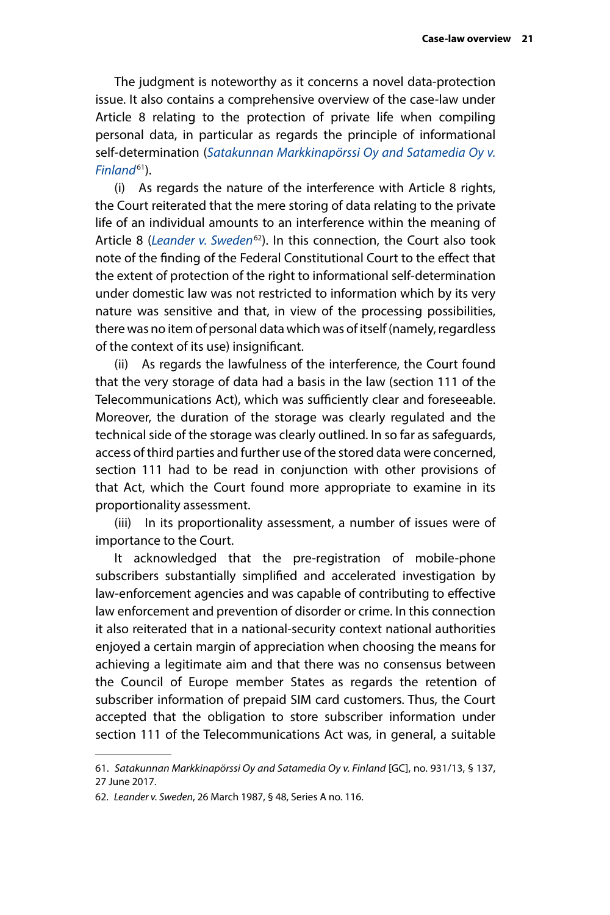The judgment is noteworthy as it concerns a novel data-protection issue. It also contains a comprehensive overview of the case-law under Article 8 relating to the protection of private life when compiling personal data, in particular as regards the principle of informational self-determination (*[Satakunnan Markkinapörssi Oy and Satamedia Oy v.](http://hudoc.echr.coe.int/eng?i=001-175121)  [Finland](http://hudoc.echr.coe.int/eng?i=001-175121)*61).

(i) As regards the nature of the interference with Article 8 rights, the Court reiterated that the mere storing of data relating to the private life of an individual amounts to an interference within the meaning of Article 8 (*[Leander v. Sweden](http://hudoc.echr.coe.int/eng?i=001-57519)*62). In this connection, the Court also took note of the finding of the Federal Constitutional Court to the effect that the extent of protection of the right to informational self-determination under domestic law was not restricted to information which by its very nature was sensitive and that, in view of the processing possibilities, there was no item of personal data which was of itself (namely, regardless of the context of its use) insignificant.

(ii) As regards the lawfulness of the interference, the Court found that the very storage of data had a basis in the law (section 111 of the Telecommunications Act), which was sufficiently clear and foreseeable. Moreover, the duration of the storage was clearly regulated and the technical side of the storage was clearly outlined. In so far as safeguards, access of third parties and further use of the stored data were concerned, section 111 had to be read in conjunction with other provisions of that Act, which the Court found more appropriate to examine in its proportionality assessment.

(iii) In its proportionality assessment, a number of issues were of importance to the Court.

It acknowledged that the pre-registration of mobile-phone subscribers substantially simplified and accelerated investigation by law-enforcement agencies and was capable of contributing to effective law enforcement and prevention of disorder or crime. In this connection it also reiterated that in a national-security context national authorities enjoyed a certain margin of appreciation when choosing the means for achieving a legitimate aim and that there was no consensus between the Council of Europe member States as regards the retention of subscriber information of prepaid SIM card customers. Thus, the Court accepted that the obligation to store subscriber information under section 111 of the Telecommunications Act was, in general, a suitable

<sup>61.</sup> *Satakunnan Markkinapörssi Oy and Satamedia Oy v. Finland* [GC], no. 931/13, § 137, 27 June 2017.

<sup>62.</sup> *Leander v. Sweden*, 26 March 1987, § 48, Series A no. 116.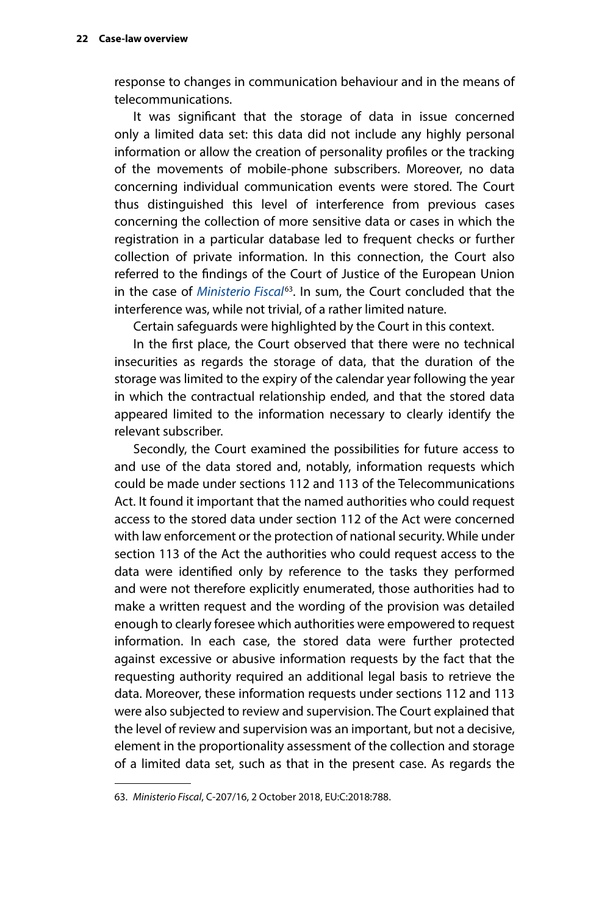response to changes in communication behaviour and in the means of telecommunications.

It was significant that the storage of data in issue concerned only a limited data set: this data did not include any highly personal information or allow the creation of personality profiles or the tracking of the movements of mobile-phone subscribers. Moreover, no data concerning individual communication events were stored. The Court thus distinguished this level of interference from previous cases concerning the collection of more sensitive data or cases in which the registration in a particular database led to frequent checks or further collection of private information. In this connection, the Court also referred to the findings of the Court of Justice of the European Union in the case of *[Ministerio Fiscal](http://curia.europa.eu/juris/liste.jsf?oqp=&for=&mat=or&lgrec=fr&jge=&td=%3BALL&jur=C%2CT%2CF&num=C-207%252F16&page=1&dates=&pcs=Oor&lg=&pro=&nat=or&cit=none%252CC%252CCJ%252CR%252C2008E%252C%252C%252C%252C%252C%252C%252C%252C%252C%252Ctrue%252Cfalse%252Cfalse&language=en&avg=&cid=7321939)*63. In sum, the Court concluded that the interference was, while not trivial, of a rather limited nature.

Certain safeguards were highlighted by the Court in this context.

In the first place, the Court observed that there were no technical insecurities as regards the storage of data, that the duration of the storage was limited to the expiry of the calendar year following the year in which the contractual relationship ended, and that the stored data appeared limited to the information necessary to clearly identify the relevant subscriber.

Secondly, the Court examined the possibilities for future access to and use of the data stored and, notably, information requests which could be made under sections 112 and 113 of the Telecommunications Act. It found it important that the named authorities who could request access to the stored data under section 112 of the Act were concerned with law enforcement or the protection of national security. While under section 113 of the Act the authorities who could request access to the data were identified only by reference to the tasks they performed and were not therefore explicitly enumerated, those authorities had to make a written request and the wording of the provision was detailed enough to clearly foresee which authorities were empowered to request information. In each case, the stored data were further protected against excessive or abusive information requests by the fact that the requesting authority required an additional legal basis to retrieve the data. Moreover, these information requests under sections 112 and 113 were also subjected to review and supervision. The Court explained that the level of review and supervision was an important, but not a decisive, element in the proportionality assessment of the collection and storage of a limited data set, such as that in the present case. As regards the

<sup>63.</sup> *Ministerio Fiscal*, C-207/16, 2 October 2018, EU:C:2018:788.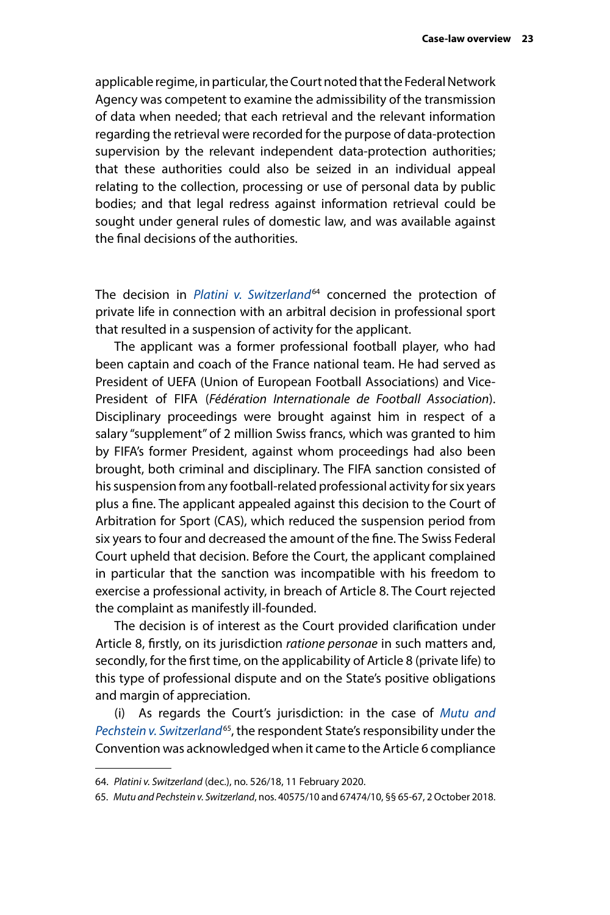applicable regime, in particular, the Court noted that the Federal Network Agency was competent to examine the admissibility of the transmission of data when needed; that each retrieval and the relevant information regarding the retrieval were recorded for the purpose of data-protection supervision by the relevant independent data-protection authorities; that these authorities could also be seized in an individual appeal relating to the collection, processing or use of personal data by public bodies; and that legal redress against information retrieval could be sought under general rules of domestic law, and was available against the final decisions of the authorities.

The decision in *[Platini v. Switzerland](http://hudoc.echr.coe.int/eng?i=001-201734)<sup>64</sup>* concerned the protection of private life in connection with an arbitral decision in professional sport that resulted in a suspension of activity for the applicant.

The applicant was a former professional football player, who had been captain and coach of the France national team. He had served as President of UEFA (Union of European Football Associations) and Vice-President of FIFA (*Fédération Internationale de Football Association*). Disciplinary proceedings were brought against him in respect of a salary "supplement" of 2 million Swiss francs, which was granted to him by FIFA's former President, against whom proceedings had also been brought, both criminal and disciplinary. The FIFA sanction consisted of his suspension from any football-related professional activity for six years plus a fine. The applicant appealed against this decision to the Court of Arbitration for Sport (CAS), which reduced the suspension period from six years to four and decreased the amount of the fine. The Swiss Federal Court upheld that decision. Before the Court, the applicant complained in particular that the sanction was incompatible with his freedom to exercise a professional activity, in breach of Article 8. The Court rejected the complaint as manifestly ill-founded.

The decision is of interest as the Court provided clarification under Article 8, firstly, on its jurisdiction *ratione personae* in such matters and, secondly, for the first time, on the applicability of Article 8 (private life) to this type of professional dispute and on the State's positive obligations and margin of appreciation.

(i) As regards the Court's jurisdiction: in the case of *[Mutu and](http://hudoc.echr.coe.int/eng?i=001-186828)  [Pechstein v. Switzerland](http://hudoc.echr.coe.int/eng?i=001-186828)*65, the respondent State's responsibility under the Convention was acknowledged when it came to the Article 6 compliance

<sup>64.</sup> *Platini v. Switzerland* (dec.), no. 526/18, 11 February 2020.

<sup>65.</sup> *Mutu and Pechstein v. Switzerland*, nos. 40575/10 and 67474/10, §§ 65-67, 2 October 2018.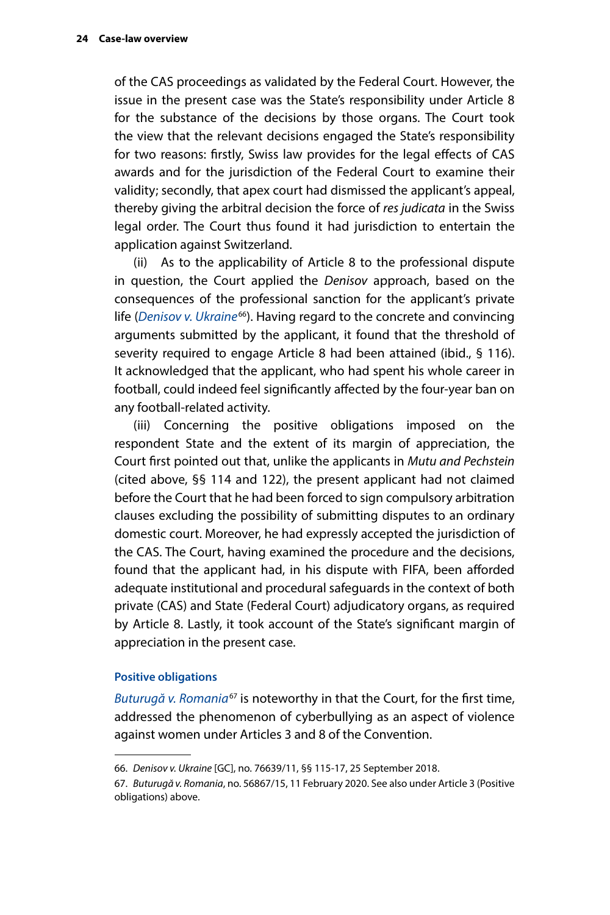<span id="page-27-0"></span>of the CAS proceedings as validated by the Federal Court. However, the issue in the present case was the State's responsibility under Article 8 for the substance of the decisions by those organs. The Court took the view that the relevant decisions engaged the State's responsibility for two reasons: firstly, Swiss law provides for the legal effects of CAS awards and for the jurisdiction of the Federal Court to examine their validity; secondly, that apex court had dismissed the applicant's appeal, thereby giving the arbitral decision the force of *res judicata* in the Swiss legal order. The Court thus found it had jurisdiction to entertain the application against Switzerland.

(ii) As to the applicability of Article 8 to the professional dispute in question, the Court applied the *Denisov* approach, based on the consequences of the professional sanction for the applicant's private life (*[Denisov v. Ukraine](http://hudoc.echr.coe.int/eng?i=001-186216)<sup>66</sup>*). Having regard to the concrete and convincing arguments submitted by the applicant, it found that the threshold of severity required to engage Article 8 had been attained (ibid., § 116). It acknowledged that the applicant, who had spent his whole career in football, could indeed feel significantly affected by the four-year ban on any football-related activity.

(iii) Concerning the positive obligations imposed on the respondent State and the extent of its margin of appreciation, the Court first pointed out that, unlike the applicants in *Mutu and Pechstein* (cited above, §§ 114 and 122), the present applicant had not claimed before the Court that he had been forced to sign compulsory arbitration clauses excluding the possibility of submitting disputes to an ordinary domestic court. Moreover, he had expressly accepted the jurisdiction of the CAS. The Court, having examined the procedure and the decisions, found that the applicant had, in his dispute with FIFA, been afforded adequate institutional and procedural safeguards in the context of both private (CAS) and State (Federal Court) adjudicatory organs, as required by Article 8. Lastly, it took account of the State's significant margin of appreciation in the present case.

#### **Positive obligations**

*[Buturugă v. Romania](http://hudoc.echr.coe.int/eng?i=001-201342)*<sup>67</sup> is noteworthy in that the Court, for the first time, addressed the phenomenon of cyberbullying as an aspect of violence against women under Articles 3 and 8 of the Convention.

<sup>66.</sup> *Denisov v. Ukraine* [GC], no. 76639/11, §§ 115-17, 25 September 2018.

<sup>67.</sup> *Buturugă v. Romania*, no. 56867/15, 11 February 2020. See also under Article 3 (Positive obligations) above.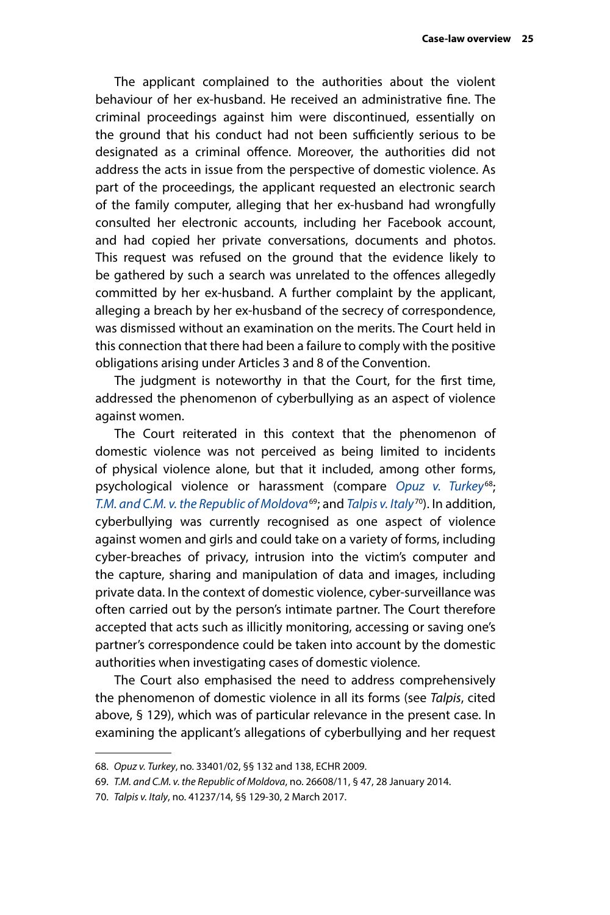The applicant complained to the authorities about the violent behaviour of her ex-husband. He received an administrative fine. The criminal proceedings against him were discontinued, essentially on the ground that his conduct had not been sufficiently serious to be designated as a criminal offence. Moreover, the authorities did not address the acts in issue from the perspective of domestic violence. As part of the proceedings, the applicant requested an electronic search of the family computer, alleging that her ex-husband had wrongfully consulted her electronic accounts, including her Facebook account, and had copied her private conversations, documents and photos. This request was refused on the ground that the evidence likely to be gathered by such a search was unrelated to the offences allegedly committed by her ex-husband. A further complaint by the applicant, alleging a breach by her ex-husband of the secrecy of correspondence, was dismissed without an examination on the merits. The Court held in this connection that there had been a failure to comply with the positive obligations arising under Articles 3 and 8 of the Convention.

The judgment is noteworthy in that the Court, for the first time, addressed the phenomenon of cyberbullying as an aspect of violence against women.

The Court reiterated in this context that the phenomenon of domestic violence was not perceived as being limited to incidents of physical violence alone, but that it included, among other forms, psychological violence or harassment (compare *[Opuz v. Turkey](http://hudoc.echr.coe.int/eng?i=001-92945)*68; *[T.M. and C.M. v. the Republic of Moldova](http://hudoc.echr.coe.int/eng?i=001-140240)*69; and *[Talpis v. Italy](http://hudoc.echr.coe.int/eng?i=001-171994)*70). In addition, cyberbullying was currently recognised as one aspect of violence against women and girls and could take on a variety of forms, including cyber-breaches of privacy, intrusion into the victim's computer and the capture, sharing and manipulation of data and images, including private data. In the context of domestic violence, cyber-surveillance was often carried out by the person's intimate partner. The Court therefore accepted that acts such as illicitly monitoring, accessing or saving one's partner's correspondence could be taken into account by the domestic authorities when investigating cases of domestic violence.

The Court also emphasised the need to address comprehensively the phenomenon of domestic violence in all its forms (see *Talpis*, cited above, § 129), which was of particular relevance in the present case. In examining the applicant's allegations of cyberbullying and her request

<sup>68.</sup> *Opuz v. Turkey*, no. 33401/02, §§ 132 and 138, ECHR 2009.

<sup>69.</sup> *T.M. and C.M. v. the Republic of Moldova*, no. 26608/11, § 47, 28 January 2014.

<sup>70.</sup> *Talpis v. Italy*, no. 41237/14, §§ 129-30, 2 March 2017.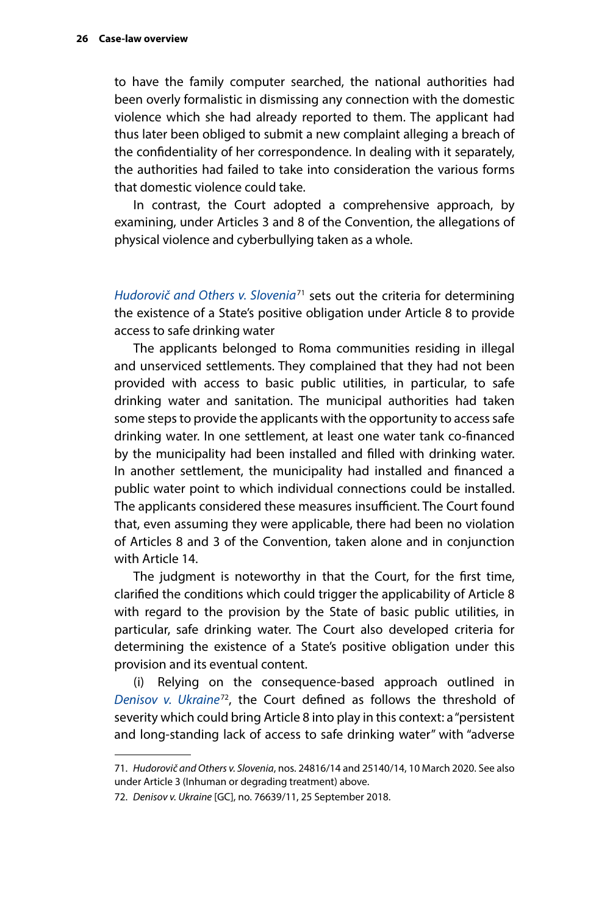to have the family computer searched, the national authorities had been overly formalistic in dismissing any connection with the domestic violence which she had already reported to them. The applicant had thus later been obliged to submit a new complaint alleging a breach of the confidentiality of her correspondence. In dealing with it separately, the authorities had failed to take into consideration the various forms that domestic violence could take.

In contrast, the Court adopted a comprehensive approach, by examining, under Articles 3 and 8 of the Convention, the allegations of physical violence and cyberbullying taken as a whole.

*[Hudorovič and Others v. Slovenia](http://hudoc.echr.coe.int/eng?i=001-201646)*71 sets out the criteria for determining the existence of a State's positive obligation under Article 8 to provide access to safe drinking water

The applicants belonged to Roma communities residing in illegal and unserviced settlements. They complained that they had not been provided with access to basic public utilities, in particular, to safe drinking water and sanitation. The municipal authorities had taken some steps to provide the applicants with the opportunity to access safe drinking water. In one settlement, at least one water tank co-financed by the municipality had been installed and filled with drinking water. In another settlement, the municipality had installed and financed a public water point to which individual connections could be installed. The applicants considered these measures insufficient. The Court found that, even assuming they were applicable, there had been no violation of Articles 8 and 3 of the Convention, taken alone and in conjunction with Article 14.

The judgment is noteworthy in that the Court, for the first time, clarified the conditions which could trigger the applicability of Article 8 with regard to the provision by the State of basic public utilities, in particular, safe drinking water. The Court also developed criteria for determining the existence of a State's positive obligation under this provision and its eventual content.

(i) Relying on the consequence-based approach outlined in *[Denisov v. Ukraine](http://hudoc.echr.coe.int/eng?i=001-186216)*72, the Court defined as follows the threshold of severity which could bring Article 8 into play in this context: a "persistent and long-standing lack of access to safe drinking water" with "adverse

<sup>71.</sup> *Hudorovič and Others v. Slovenia*, nos. 24816/14 and 25140/14, 10 March 2020. See also under Article 3 (Inhuman or degrading treatment) above.

<sup>72.</sup> *Denisov v. Ukraine* [GC], no. 76639/11, 25 September 2018.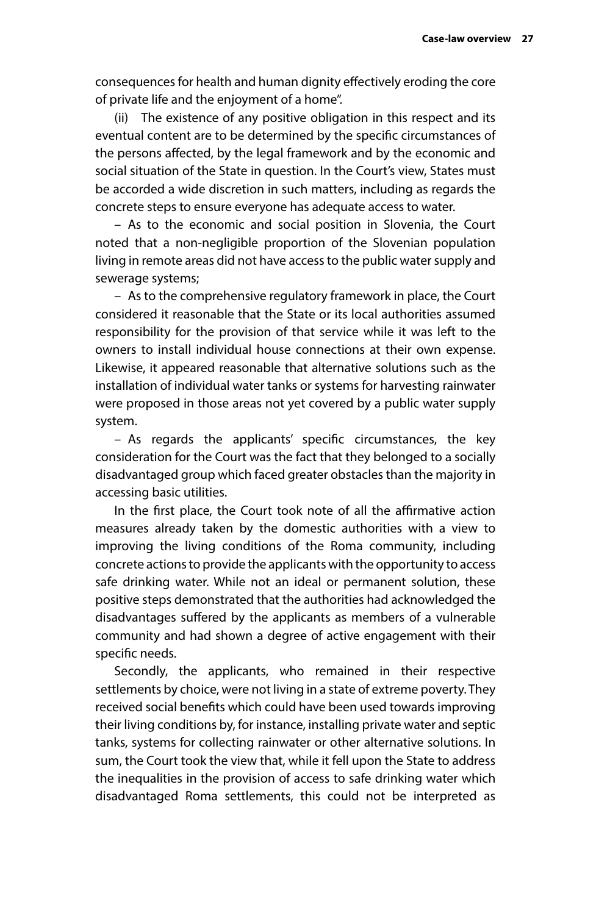consequences for health and human dignity effectively eroding the core of private life and the enjoyment of a home".

(ii) The existence of any positive obligation in this respect and its eventual content are to be determined by the specific circumstances of the persons affected, by the legal framework and by the economic and social situation of the State in question. In the Court's view, States must be accorded a wide discretion in such matters, including as regards the concrete steps to ensure everyone has adequate access to water.

– As to the economic and social position in Slovenia, the Court noted that a non-negligible proportion of the Slovenian population living in remote areas did not have access to the public water supply and sewerage systems;

– As to the comprehensive regulatory framework in place, the Court considered it reasonable that the State or its local authorities assumed responsibility for the provision of that service while it was left to the owners to install individual house connections at their own expense. Likewise, it appeared reasonable that alternative solutions such as the installation of individual water tanks or systems for harvesting rainwater were proposed in those areas not yet covered by a public water supply system.

– As regards the applicants' specific circumstances, the key consideration for the Court was the fact that they belonged to a socially disadvantaged group which faced greater obstacles than the majority in accessing basic utilities.

In the first place, the Court took note of all the affirmative action measures already taken by the domestic authorities with a view to improving the living conditions of the Roma community, including concrete actions to provide the applicants with the opportunity to access safe drinking water. While not an ideal or permanent solution, these positive steps demonstrated that the authorities had acknowledged the disadvantages suffered by the applicants as members of a vulnerable community and had shown a degree of active engagement with their specific needs.

Secondly, the applicants, who remained in their respective settlements by choice, were not living in a state of extreme poverty. They received social benefits which could have been used towards improving their living conditions by, for instance, installing private water and septic tanks, systems for collecting rainwater or other alternative solutions. In sum, the Court took the view that, while it fell upon the State to address the inequalities in the provision of access to safe drinking water which disadvantaged Roma settlements, this could not be interpreted as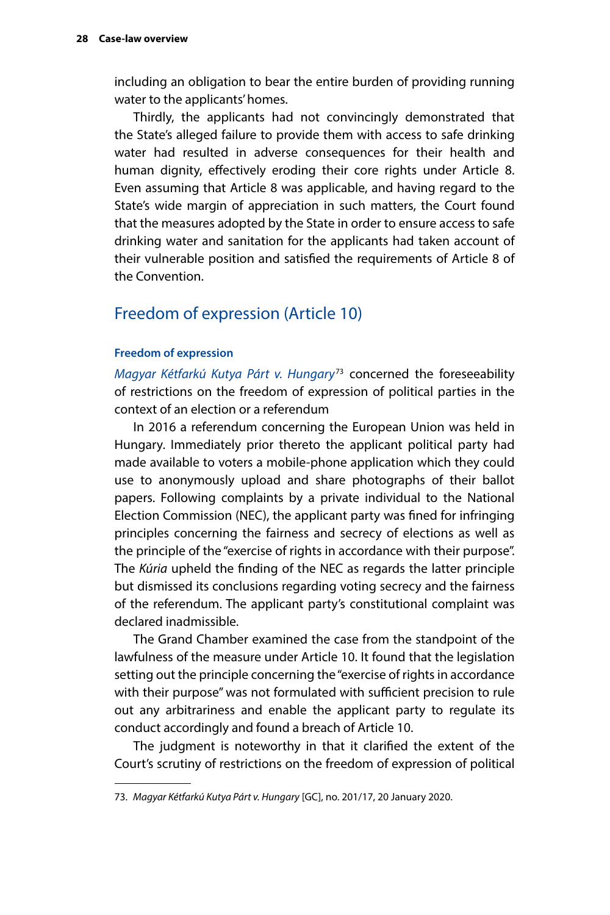<span id="page-31-0"></span>including an obligation to bear the entire burden of providing running water to the applicants' homes.

Thirdly, the applicants had not convincingly demonstrated that the State's alleged failure to provide them with access to safe drinking water had resulted in adverse consequences for their health and human dignity, effectively eroding their core rights under Article 8. Even assuming that Article 8 was applicable, and having regard to the State's wide margin of appreciation in such matters, the Court found that the measures adopted by the State in order to ensure access to safe drinking water and sanitation for the applicants had taken account of their vulnerable position and satisfied the requirements of Article 8 of the Convention.

## Freedom of expression (Article 10)

#### **Freedom of expression**

*[Magyar Kétfarkú Kutya Párt v. Hungary](http://hudoc.echr.coe.int/eng?i=001-200657)*73 concerned the foreseeability of restrictions on the freedom of expression of political parties in the context of an election or a referendum

In 2016 a referendum concerning the European Union was held in Hungary. Immediately prior thereto the applicant political party had made available to voters a mobile-phone application which they could use to anonymously upload and share photographs of their ballot papers. Following complaints by a private individual to the National Election Commission (NEC), the applicant party was fined for infringing principles concerning the fairness and secrecy of elections as well as the principle of the "exercise of rights in accordance with their purpose". The *Kúria* upheld the finding of the NEC as regards the latter principle but dismissed its conclusions regarding voting secrecy and the fairness of the referendum. The applicant party's constitutional complaint was declared inadmissible.

The Grand Chamber examined the case from the standpoint of the lawfulness of the measure under Article 10. It found that the legislation setting out the principle concerning the "exercise of rights in accordance with their purpose" was not formulated with sufficient precision to rule out any arbitrariness and enable the applicant party to regulate its conduct accordingly and found a breach of Article 10.

The judgment is noteworthy in that it clarified the extent of the Court's scrutiny of restrictions on the freedom of expression of political

<sup>73.</sup> *Magyar Kétfarkú Kutya Párt v. Hungary* [GC], no. 201/17, 20 January 2020.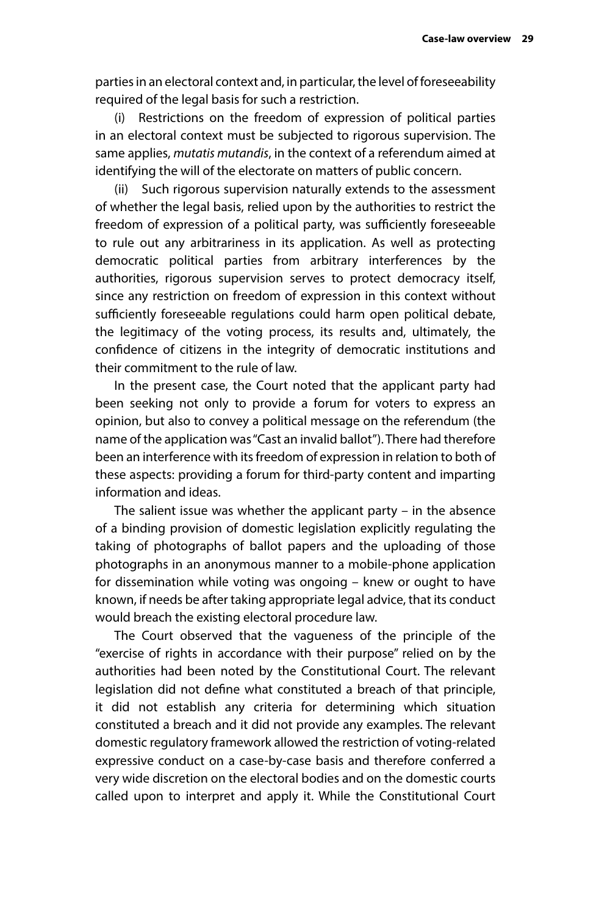parties in an electoral context and, in particular, the level of foreseeability required of the legal basis for such a restriction.

(i) Restrictions on the freedom of expression of political parties in an electoral context must be subjected to rigorous supervision. The same applies, *mutatis mutandis*, in the context of a referendum aimed at identifying the will of the electorate on matters of public concern.

(ii) Such rigorous supervision naturally extends to the assessment of whether the legal basis, relied upon by the authorities to restrict the freedom of expression of a political party, was sufficiently foreseeable to rule out any arbitrariness in its application. As well as protecting democratic political parties from arbitrary interferences by the authorities, rigorous supervision serves to protect democracy itself, since any restriction on freedom of expression in this context without sufficiently foreseeable regulations could harm open political debate, the legitimacy of the voting process, its results and, ultimately, the confidence of citizens in the integrity of democratic institutions and their commitment to the rule of law.

In the present case, the Court noted that the applicant party had been seeking not only to provide a forum for voters to express an opinion, but also to convey a political message on the referendum (the name of the application was "Cast an invalid ballot"). There had therefore been an interference with its freedom of expression in relation to both of these aspects: providing a forum for third-party content and imparting information and ideas.

The salient issue was whether the applicant party – in the absence of a binding provision of domestic legislation explicitly regulating the taking of photographs of ballot papers and the uploading of those photographs in an anonymous manner to a mobile-phone application for dissemination while voting was ongoing – knew or ought to have known, if needs be after taking appropriate legal advice, that its conduct would breach the existing electoral procedure law.

The Court observed that the vagueness of the principle of the "exercise of rights in accordance with their purpose" relied on by the authorities had been noted by the Constitutional Court. The relevant legislation did not define what constituted a breach of that principle, it did not establish any criteria for determining which situation constituted a breach and it did not provide any examples. The relevant domestic regulatory framework allowed the restriction of voting-related expressive conduct on a case-by-case basis and therefore conferred a very wide discretion on the electoral bodies and on the domestic courts called upon to interpret and apply it. While the Constitutional Court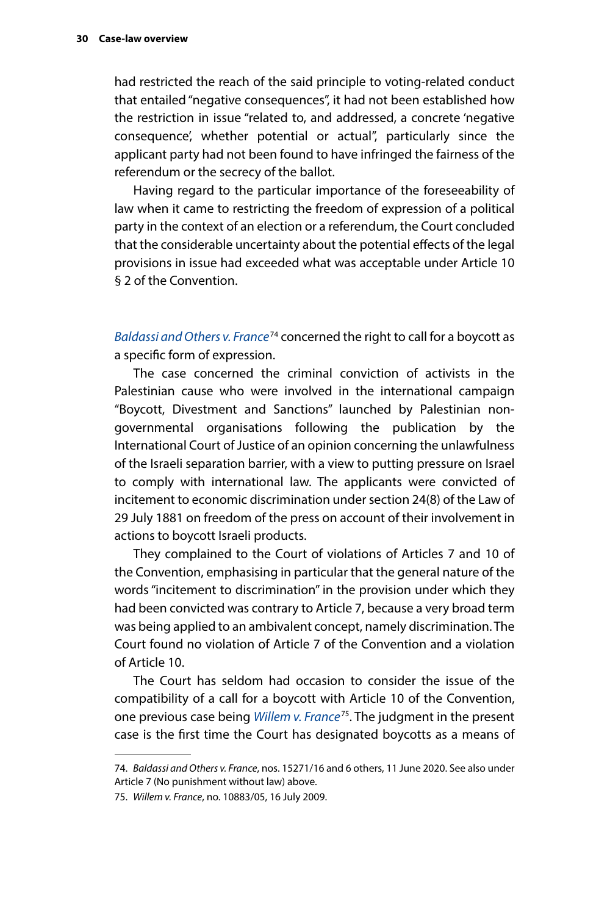had restricted the reach of the said principle to voting-related conduct that entailed "negative consequences", it had not been established how the restriction in issue "related to, and addressed, a concrete 'negative consequence', whether potential or actual", particularly since the applicant party had not been found to have infringed the fairness of the referendum or the secrecy of the ballot.

Having regard to the particular importance of the foreseeability of law when it came to restricting the freedom of expression of a political party in the context of an election or a referendum, the Court concluded that the considerable uncertainty about the potential effects of the legal provisions in issue had exceeded what was acceptable under Article 10 § 2 of the Convention.

*[Baldassi and Others v. France](http://hudoc.echr.coe.int/eng?i=001-203213)*74 concerned the right to call for a boycott as a specific form of expression.

The case concerned the criminal conviction of activists in the Palestinian cause who were involved in the international campaign "Boycott, Divestment and Sanctions" launched by Palestinian nongovernmental organisations following the publication by the International Court of Justice of an opinion concerning the unlawfulness of the Israeli separation barrier, with a view to putting pressure on Israel to comply with international law. The applicants were convicted of incitement to economic discrimination under section 24(8) of the Law of 29 July 1881 on freedom of the press on account of their involvement in actions to boycott Israeli products.

They complained to the Court of violations of Articles 7 and 10 of the Convention, emphasising in particular that the general nature of the words "incitement to discrimination" in the provision under which they had been convicted was contrary to Article 7, because a very broad term was being applied to an ambivalent concept, namely discrimination. The Court found no violation of Article 7 of the Convention and a violation of Article 10.

The Court has seldom had occasion to consider the issue of the compatibility of a call for a boycott with Article 10 of the Convention, one previous case being *[Willem v. France](http://hudoc.echr.coe.int/eng?i=001-93632)*75. The judgment in the present case is the first time the Court has designated boycotts as a means of

<sup>74.</sup> *Baldassi and Others v. France*, nos. 15271/16 and 6 others, 11 June 2020. See also under Article 7 (No punishment without law) above.

<sup>75.</sup> *Willem v. France*, no. 10883/05, 16 July 2009.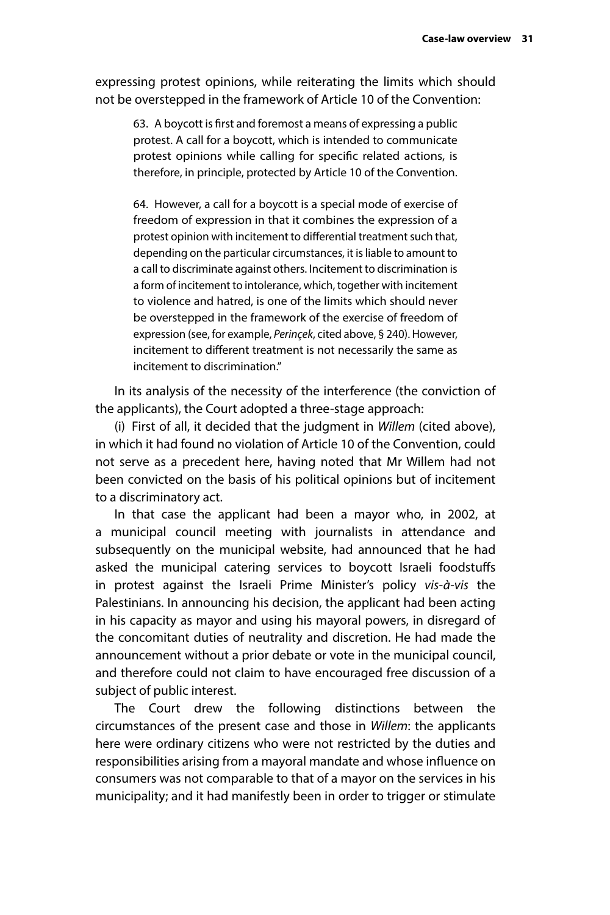expressing protest opinions, while reiterating the limits which should not be overstepped in the framework of Article 10 of the Convention:

63. A boycott is first and foremost a means of expressing a public protest. A call for a boycott, which is intended to communicate protest opinions while calling for specific related actions, is therefore, in principle, protected by Article 10 of the Convention.

64. However, a call for a boycott is a special mode of exercise of freedom of expression in that it combines the expression of a protest opinion with incitement to differential treatment such that, depending on the particular circumstances, it is liable to amount to a call to discriminate against others. Incitement to discrimination is a form of incitement to intolerance, which, together with incitement to violence and hatred, is one of the limits which should never be overstepped in the framework of the exercise of freedom of expression (see, for example, *Perinçek*, cited above, § 240). However, incitement to different treatment is not necessarily the same as incitement to discrimination."

In its analysis of the necessity of the interference (the conviction of the applicants), the Court adopted a three-stage approach:

(i) First of all, it decided that the judgment in *Willem* (cited above), in which it had found no violation of Article 10 of the Convention, could not serve as a precedent here, having noted that Mr Willem had not been convicted on the basis of his political opinions but of incitement to a discriminatory act.

In that case the applicant had been a mayor who, in 2002, at a municipal council meeting with journalists in attendance and subsequently on the municipal website, had announced that he had asked the municipal catering services to boycott Israeli foodstuffs in protest against the Israeli Prime Minister's policy *vis-à-vis* the Palestinians. In announcing his decision, the applicant had been acting in his capacity as mayor and using his mayoral powers, in disregard of the concomitant duties of neutrality and discretion. He had made the announcement without a prior debate or vote in the municipal council, and therefore could not claim to have encouraged free discussion of a subject of public interest.

The Court drew the following distinctions between the circumstances of the present case and those in *Willem*: the applicants here were ordinary citizens who were not restricted by the duties and responsibilities arising from a mayoral mandate and whose influence on consumers was not comparable to that of a mayor on the services in his municipality; and it had manifestly been in order to trigger or stimulate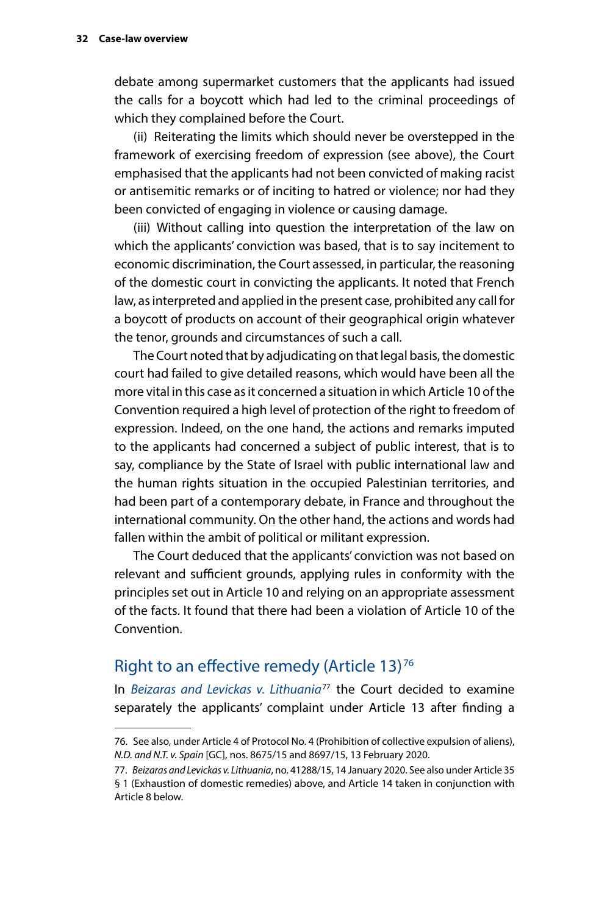<span id="page-35-0"></span>debate among supermarket customers that the applicants had issued the calls for a boycott which had led to the criminal proceedings of which they complained before the Court.

(ii) Reiterating the limits which should never be overstepped in the framework of exercising freedom of expression (see above), the Court emphasised that the applicants had not been convicted of making racist or antisemitic remarks or of inciting to hatred or violence; nor had they been convicted of engaging in violence or causing damage.

(iii) Without calling into question the interpretation of the law on which the applicants' conviction was based, that is to say incitement to economic discrimination, the Court assessed, in particular, the reasoning of the domestic court in convicting the applicants. It noted that French law, as interpreted and applied in the present case, prohibited any call for a boycott of products on account of their geographical origin whatever the tenor, grounds and circumstances of such a call.

The Court noted that by adjudicating on that legal basis, the domestic court had failed to give detailed reasons, which would have been all the more vital in this case as it concerned a situation in which Article 10 of the Convention required a high level of protection of the right to freedom of expression. Indeed, on the one hand, the actions and remarks imputed to the applicants had concerned a subject of public interest, that is to say, compliance by the State of Israel with public international law and the human rights situation in the occupied Palestinian territories, and had been part of a contemporary debate, in France and throughout the international community. On the other hand, the actions and words had fallen within the ambit of political or militant expression.

The Court deduced that the applicants' conviction was not based on relevant and sufficient grounds, applying rules in conformity with the principles set out in Article 10 and relying on an appropriate assessment of the facts. It found that there had been a violation of Article 10 of the Convention.

## Right to an effective remedy (Article 13)<sup>76</sup>

In *[Beizaras and Levickas v. Lithuania](http://hudoc.echr.coe.int/eng?i=001-200344)*77 the Court decided to examine separately the applicants' complaint under Article 13 after finding a

<sup>76.</sup> See also, under Article 4 of Protocol No. 4 (Prohibition of collective expulsion of aliens), *N.D. and N.T. v. Spain* [GC], nos. 8675/15 and 8697/15, 13 February 2020.

<sup>77.</sup> *Beizaras and Levickas v. Lithuania*, no. 41288/15, 14 January 2020. See also under Article 35 § 1 (Exhaustion of domestic remedies) above, and Article 14 taken in conjunction with Article 8 below.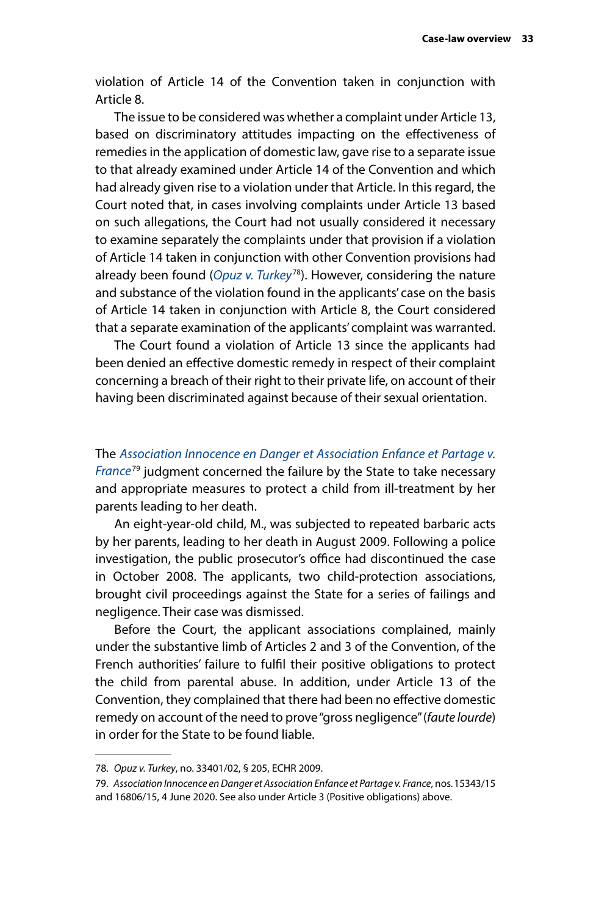violation of Article 14 of the Convention taken in conjunction with Article 8.

The issue to be considered was whether a complaint under Article 13, based on discriminatory attitudes impacting on the effectiveness of remedies in the application of domestic law, gave rise to a separate issue to that already examined under Article 14 of the Convention and which had already given rise to a violation under that Article. In this regard, the Court noted that, in cases involving complaints under Article 13 based on such allegations, the Court had not usually considered it necessary to examine separately the complaints under that provision if a violation of Article 14 taken in conjunction with other Convention provisions had already been found (*[Opuz v. Turkey](http://hudoc.echr.coe.int/eng?i=001-92945)*78). However, considering the nature and substance of the violation found in the applicants' case on the basis of Article 14 taken in conjunction with Article 8, the Court considered that a separate examination of the applicants' complaint was warranted.

The Court found a violation of Article 13 since the applicants had been denied an effective domestic remedy in respect of their complaint concerning a breach of their right to their private life, on account of their having been discriminated against because of their sexual orientation.

The *[Association Innocence en Danger et Association Enfance et Partage v.](http://hudoc.echr.coe.int/eng?i=001-203033)  [France](http://hudoc.echr.coe.int/eng?i=001-203033)*79 judgment concerned the failure by the State to take necessary and appropriate measures to protect a child from ill-treatment by her parents leading to her death.

An eight-year-old child, M., was subjected to repeated barbaric acts by her parents, leading to her death in August 2009. Following a police investigation, the public prosecutor's office had discontinued the case in October 2008. The applicants, two child-protection associations, brought civil proceedings against the State for a series of failings and negligence. Their case was dismissed.

Before the Court, the applicant associations complained, mainly under the substantive limb of Articles 2 and 3 of the Convention, of the French authorities' failure to fulfil their positive obligations to protect the child from parental abuse. In addition, under Article 13 of the Convention, they complained that there had been no effective domestic remedy on account of the need to prove "gross negligence" (*faute lourde*) in order for the State to be found liable.

<sup>78.</sup> *Opuz v. Turkey*, no. 33401/02, § 205, ECHR 2009.

<sup>79.</sup> *Association Innocence en Danger et Association Enfance et Partage v. France*, nos.15343/15 and 16806/15, 4 June 2020. See also under Article 3 (Positive obligations) above.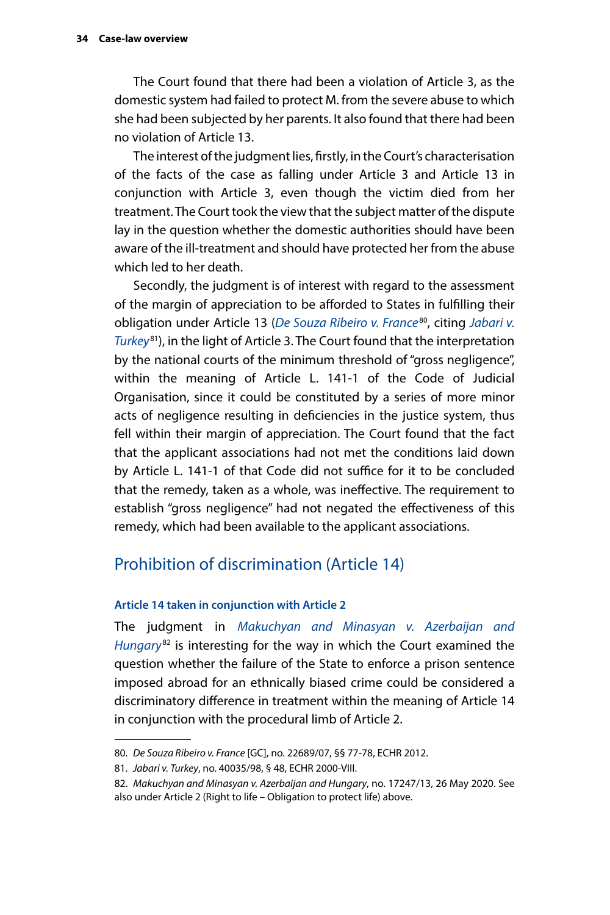<span id="page-37-0"></span>The Court found that there had been a violation of Article 3, as the domestic system had failed to protect M. from the severe abuse to which she had been subjected by her parents. It also found that there had been no violation of Article 13.

The interest of the judgment lies, firstly, in the Court's characterisation of the facts of the case as falling under Article 3 and Article 13 in conjunction with Article 3, even though the victim died from her treatment. The Court took the view that the subject matter of the dispute lay in the question whether the domestic authorities should have been aware of the ill-treatment and should have protected her from the abuse which led to her death.

Secondly, the judgment is of interest with regard to the assessment of the margin of appreciation to be afforded to States in fulfilling their obligation under Article 13 (*[De Souza Ribeiro v. France](http://hudoc.echr.coe.int/eng?i=001-115498)*80, citing *[Jabari v.](http://hudoc.echr.coe.int/eng?i=001-58900)  [Turkey](http://hudoc.echr.coe.int/eng?i=001-58900)*81), in the light of Article 3. The Court found that the interpretation by the national courts of the minimum threshold of "gross negligence", within the meaning of Article L. 141-1 of the Code of Judicial Organisation, since it could be constituted by a series of more minor acts of negligence resulting in deficiencies in the justice system, thus fell within their margin of appreciation. The Court found that the fact that the applicant associations had not met the conditions laid down by Article L. 141-1 of that Code did not suffice for it to be concluded that the remedy, taken as a whole, was ineffective. The requirement to establish "gross negligence" had not negated the effectiveness of this remedy, which had been available to the applicant associations.

## Prohibition of discrimination (Article 14)

#### **Article 14 taken in conjunction with Article 2**

The judgment in *[Makuchyan and Minasyan v. Azerbaijan and](http://hudoc.echr.coe.int/eng?i=001-202524)  [Hungary](http://hudoc.echr.coe.int/eng?i=001-202524)*82 is interesting for the way in which the Court examined the question whether the failure of the State to enforce a prison sentence imposed abroad for an ethnically biased crime could be considered a discriminatory difference in treatment within the meaning of Article 14 in conjunction with the procedural limb of Article 2.

<sup>80.</sup> *De Souza Ribeiro v. France* [GC], no. 22689/07, §§ 77-78, ECHR 2012.

<sup>81.</sup> *Jabari v. Turkey*, no. 40035/98, § 48, ECHR 2000-VIII.

<sup>82.</sup> *Makuchyan and Minasyan v. Azerbaijan and Hungary*, no. 17247/13, 26 May 2020. See also under Article 2 (Right to life – Obligation to protect life) above.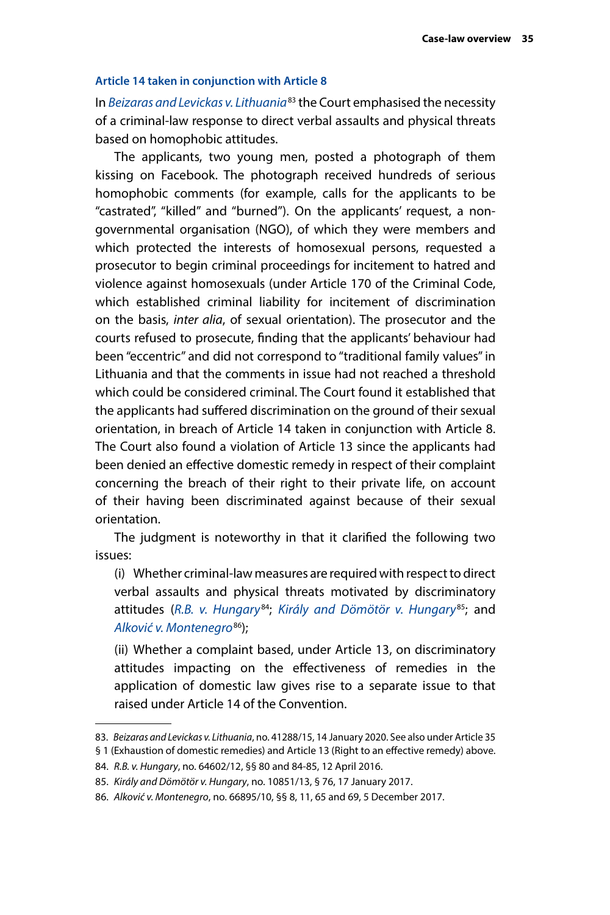#### <span id="page-38-0"></span>**Article 14 taken in conjunction with Article 8**

In *[Beizaras and Levickas v. Lithuania](http://hudoc.echr.coe.int/eng?i=001-200344)*83 the Court emphasised the necessity of a criminal-law response to direct verbal assaults and physical threats based on homophobic attitudes.

The applicants, two young men, posted a photograph of them kissing on Facebook. The photograph received hundreds of serious homophobic comments (for example, calls for the applicants to be "castrated", "killed" and "burned"). On the applicants' request, a nongovernmental organisation (NGO), of which they were members and which protected the interests of homosexual persons, requested a prosecutor to begin criminal proceedings for incitement to hatred and violence against homosexuals (under Article 170 of the Criminal Code, which established criminal liability for incitement of discrimination on the basis, *inter alia*, of sexual orientation). The prosecutor and the courts refused to prosecute, finding that the applicants' behaviour had been "eccentric" and did not correspond to "traditional family values" in Lithuania and that the comments in issue had not reached a threshold which could be considered criminal. The Court found it established that the applicants had suffered discrimination on the ground of their sexual orientation, in breach of Article 14 taken in conjunction with Article 8. The Court also found a violation of Article 13 since the applicants had been denied an effective domestic remedy in respect of their complaint concerning the breach of their right to their private life, on account of their having been discriminated against because of their sexual orientation.

The judgment is noteworthy in that it clarified the following two issues:

(i) Whether criminal-law measures are required with respect to direct verbal assaults and physical threats motivated by discriminatory attitudes (*[R.B. v. Hungary](http://hudoc.echr.coe.int/eng?i=001-161983)*84; *[Király and Dömötör v. Hungary](http://hudoc.echr.coe.int/eng?i=001-170391)*85; and *[Alković v. Montenegro](http://hudoc.echr.coe.int/eng?i=001-179216)*86);

(ii) Whether a complaint based, under Article 13, on discriminatory attitudes impacting on the effectiveness of remedies in the application of domestic law gives rise to a separate issue to that raised under Article 14 of the Convention.

<sup>83.</sup> *Beizaras and Levickas v. Lithuania*, no. 41288/15, 14 January 2020. See also under Article 35

<sup>§ 1 (</sup>Exhaustion of domestic remedies) and Article 13 (Right to an effective remedy) above.

<sup>84.</sup> *R.B. v. Hungary*, no. 64602/12, §§ 80 and 84-85, 12 April 2016.

<sup>85.</sup> *Király and Dömötör v. Hungary*, no. 10851/13, § 76, 17 January 2017.

<sup>86.</sup> *Alković v. Montenegro*, no. 66895/10, §§ 8, 11, 65 and 69, 5 December 2017.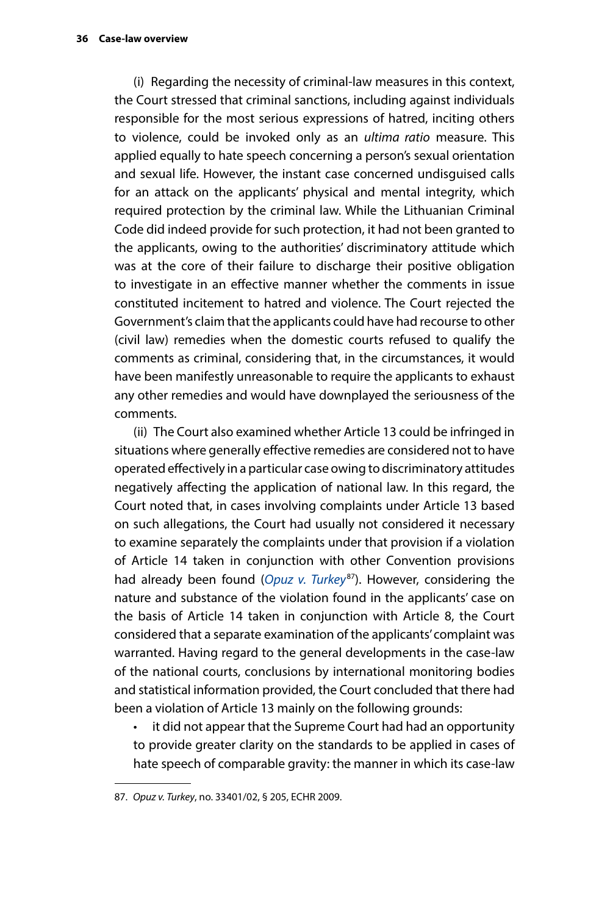(i) Regarding the necessity of criminal-law measures in this context, the Court stressed that criminal sanctions, including against individuals responsible for the most serious expressions of hatred, inciting others to violence, could be invoked only as an *ultima ratio* measure. This applied equally to hate speech concerning a person's sexual orientation and sexual life. However, the instant case concerned undisguised calls for an attack on the applicants' physical and mental integrity, which required protection by the criminal law. While the Lithuanian Criminal Code did indeed provide for such protection, it had not been granted to the applicants, owing to the authorities' discriminatory attitude which was at the core of their failure to discharge their positive obligation to investigate in an effective manner whether the comments in issue constituted incitement to hatred and violence. The Court rejected the Government's claim that the applicants could have had recourse to other (civil law) remedies when the domestic courts refused to qualify the comments as criminal, considering that, in the circumstances, it would have been manifestly unreasonable to require the applicants to exhaust any other remedies and would have downplayed the seriousness of the comments.

(ii) The Court also examined whether Article 13 could be infringed in situations where generally effective remedies are considered not to have operated effectively in a particular case owing to discriminatory attitudes negatively affecting the application of national law. In this regard, the Court noted that, in cases involving complaints under Article 13 based on such allegations, the Court had usually not considered it necessary to examine separately the complaints under that provision if a violation of Article 14 taken in conjunction with other Convention provisions had already been found (*[Opuz v. Turkey](http://hudoc.echr.coe.int/eng?i=001-92945)*87). However, considering the nature and substance of the violation found in the applicants' case on the basis of Article 14 taken in conjunction with Article 8, the Court considered that a separate examination of the applicants' complaint was warranted. Having regard to the general developments in the case-law of the national courts, conclusions by international monitoring bodies and statistical information provided, the Court concluded that there had been a violation of Article 13 mainly on the following grounds:

• it did not appear that the Supreme Court had had an opportunity to provide greater clarity on the standards to be applied in cases of hate speech of comparable gravity: the manner in which its case-law

<sup>87.</sup> *Opuz v. Turkey*, no. 33401/02, § 205, ECHR 2009.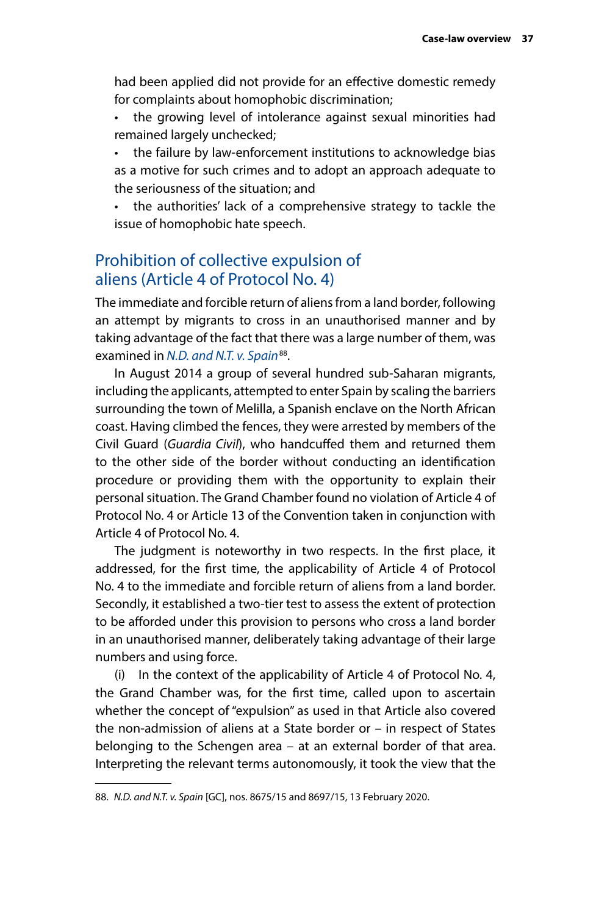<span id="page-40-0"></span>had been applied did not provide for an effective domestic remedy for complaints about homophobic discrimination;

- the growing level of intolerance against sexual minorities had remained largely unchecked;
- the failure by law-enforcement institutions to acknowledge bias as a motive for such crimes and to adopt an approach adequate to the seriousness of the situation; and

• the authorities' lack of a comprehensive strategy to tackle the issue of homophobic hate speech.

## Prohibition of collective expulsion of aliens (Article 4 of Protocol No. 4)

The immediate and forcible return of aliens from a land border, following an attempt by migrants to cross in an unauthorised manner and by taking advantage of the fact that there was a large number of them, was examined in *[N.D. and N.T. v. Spain](http://hudoc.echr.coe.int/eng?i=001-201353)*<sup>88</sup>.

In August 2014 a group of several hundred sub-Saharan migrants, including the applicants, attempted to enter Spain by scaling the barriers surrounding the town of Melilla, a Spanish enclave on the North African coast. Having climbed the fences, they were arrested by members of the Civil Guard (*Guardia Civil*), who handcuffed them and returned them to the other side of the border without conducting an identification procedure or providing them with the opportunity to explain their personal situation. The Grand Chamber found no violation of Article 4 of Protocol No. 4 or Article 13 of the Convention taken in conjunction with Article 4 of Protocol No. 4.

The judgment is noteworthy in two respects. In the first place, it addressed, for the first time, the applicability of Article 4 of Protocol No. 4 to the immediate and forcible return of aliens from a land border. Secondly, it established a two-tier test to assess the extent of protection to be afforded under this provision to persons who cross a land border in an unauthorised manner, deliberately taking advantage of their large numbers and using force.

(i) In the context of the applicability of Article 4 of Protocol No. 4, the Grand Chamber was, for the first time, called upon to ascertain whether the concept of "expulsion" as used in that Article also covered the non-admission of aliens at a State border or – in respect of States belonging to the Schengen area – at an external border of that area. Interpreting the relevant terms autonomously, it took the view that the

<sup>88.</sup> *N.D. and N.T. v. Spain* [GC], nos. 8675/15 and 8697/15, 13 February 2020.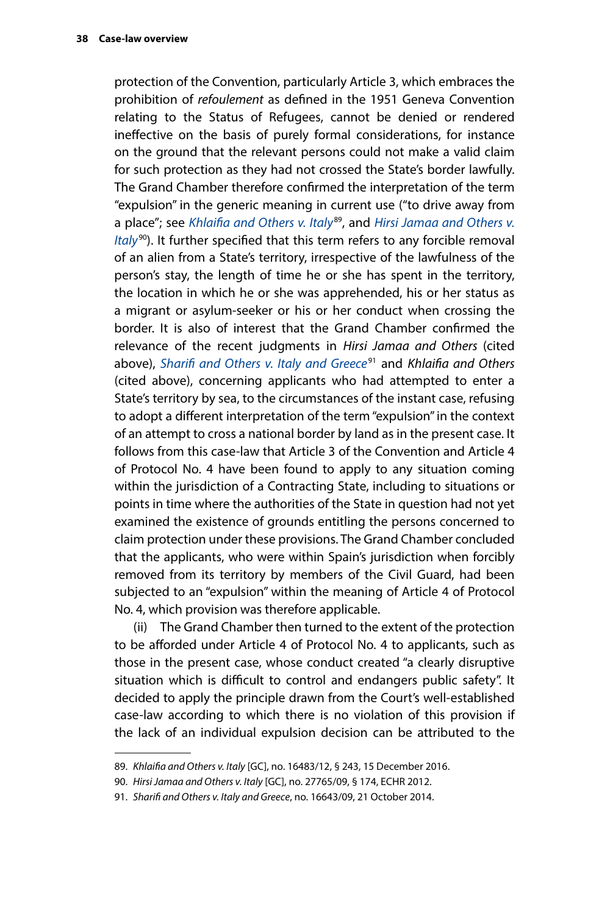protection of the Convention, particularly Article 3, which embraces the prohibition of *refoulement* as defined in the 1951 Geneva Convention relating to the Status of Refugees, cannot be denied or rendered ineffective on the basis of purely formal considerations, for instance on the ground that the relevant persons could not make a valid claim for such protection as they had not crossed the State's border lawfully. The Grand Chamber therefore confirmed the interpretation of the term "expulsion" in the generic meaning in current use ("to drive away from a place"; see *[Khlaifia and Others v. Italy](http://hudoc.echr.coe.int/eng?i=001-170054)*89, and *[Hirsi Jamaa and Others v.](http://hudoc.echr.coe.int/eng?i=001-109231)  [Italy](http://hudoc.echr.coe.int/eng?i=001-109231)*90). It further specified that this term refers to any forcible removal of an alien from a State's territory, irrespective of the lawfulness of the person's stay, the length of time he or she has spent in the territory, the location in which he or she was apprehended, his or her status as a migrant or asylum-seeker or his or her conduct when crossing the border. It is also of interest that the Grand Chamber confirmed the relevance of the recent judgments in *Hirsi Jamaa and Others* (cited above), *[Sharifi and Others v. Italy and Greece](http://hudoc.echr.coe.int/eng?i=001-147702)*91 and *Khlaifia and Others*  (cited above), concerning applicants who had attempted to enter a State's territory by sea, to the circumstances of the instant case, refusing to adopt a different interpretation of the term "expulsion" in the context of an attempt to cross a national border by land as in the present case. It follows from this case-law that Article 3 of the Convention and Article 4 of Protocol No. 4 have been found to apply to any situation coming within the jurisdiction of a Contracting State, including to situations or points in time where the authorities of the State in question had not yet examined the existence of grounds entitling the persons concerned to claim protection under these provisions. The Grand Chamber concluded that the applicants, who were within Spain's jurisdiction when forcibly removed from its territory by members of the Civil Guard, had been subjected to an "expulsion" within the meaning of Article 4 of Protocol No. 4, which provision was therefore applicable.

(ii) The Grand Chamber then turned to the extent of the protection to be afforded under Article 4 of Protocol No. 4 to applicants, such as those in the present case, whose conduct created "a clearly disruptive situation which is difficult to control and endangers public safety". It decided to apply the principle drawn from the Court's well-established case-law according to which there is no violation of this provision if the lack of an individual expulsion decision can be attributed to the

<sup>89.</sup> *Khlaifia and Others v. Italy* [GC], no. 16483/12, § 243, 15 December 2016.

<sup>90.</sup> *Hirsi Jamaa and Others v. Italy* [GC], no. 27765/09, § 174, ECHR 2012.

<sup>91.</sup> *Sharifi and Others v. Italy and Greece*, no. 16643/09, 21 October 2014.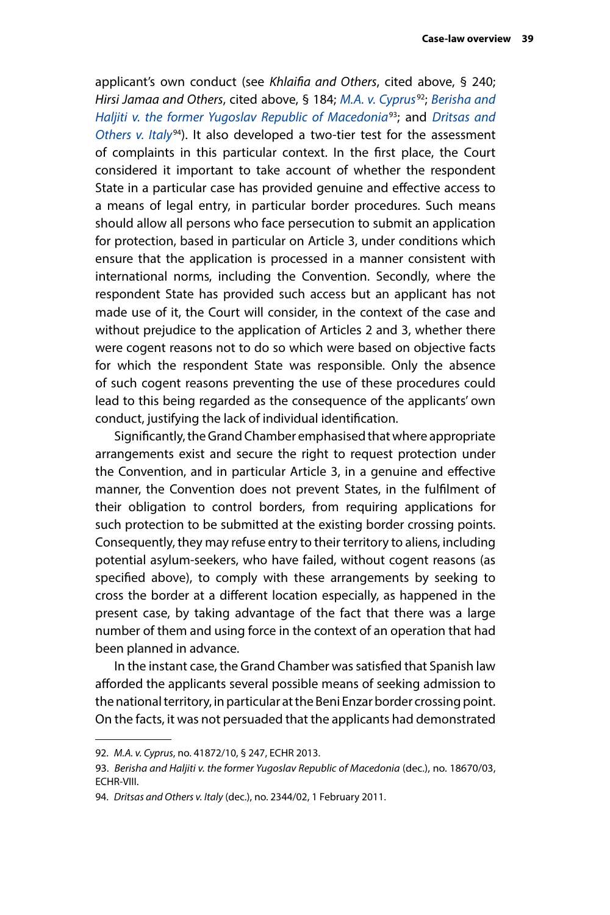applicant's own conduct (see *Khlaifia and Others*, cited above, § 240; *Hirsi Jamaa and Others*, cited above, § 184; *[M.A. v. Cyprus](http://hudoc.echr.coe.int/eng?i=001-122889)*92; *[Berisha and](http://hudoc.echr.coe.int/eng?i=001-69651)  [Haljiti v. the former Yugoslav Republic of Macedonia](http://hudoc.echr.coe.int/eng?i=001-69651)*93; and *[Dritsas and](http://hudoc.echr.coe.int/eng?i=001-103688)  [Others v. Italy](http://hudoc.echr.coe.int/eng?i=001-103688)*94). It also developed a two-tier test for the assessment of complaints in this particular context. In the first place, the Court considered it important to take account of whether the respondent State in a particular case has provided genuine and effective access to a means of legal entry, in particular border procedures. Such means should allow all persons who face persecution to submit an application for protection, based in particular on Article 3, under conditions which ensure that the application is processed in a manner consistent with international norms, including the Convention. Secondly, where the respondent State has provided such access but an applicant has not made use of it, the Court will consider, in the context of the case and without prejudice to the application of Articles 2 and 3, whether there were cogent reasons not to do so which were based on objective facts for which the respondent State was responsible. Only the absence of such cogent reasons preventing the use of these procedures could lead to this being regarded as the consequence of the applicants' own conduct, justifying the lack of individual identification.

Significantly, the Grand Chamber emphasised that where appropriate arrangements exist and secure the right to request protection under the Convention, and in particular Article 3, in a genuine and effective manner, the Convention does not prevent States, in the fulfilment of their obligation to control borders, from requiring applications for such protection to be submitted at the existing border crossing points. Consequently, they may refuse entry to their territory to aliens, including potential asylum-seekers, who have failed, without cogent reasons (as specified above), to comply with these arrangements by seeking to cross the border at a different location especially, as happened in the present case, by taking advantage of the fact that there was a large number of them and using force in the context of an operation that had been planned in advance.

In the instant case, the Grand Chamber was satisfied that Spanish law afforded the applicants several possible means of seeking admission to the national territory, in particular at the Beni Enzar border crossing point. On the facts, it was not persuaded that the applicants had demonstrated

<sup>92.</sup> *M.A. v. Cyprus*, no. 41872/10, § 247, ECHR 2013.

<sup>93.</sup> *Berisha and Haljiti v. the former Yugoslav Republic of Macedonia* (dec.), no. 18670/03, ECHR-VIII.

<sup>94.</sup> *Dritsas and Others v. Italy* (dec.), no. 2344/02, 1 February 2011.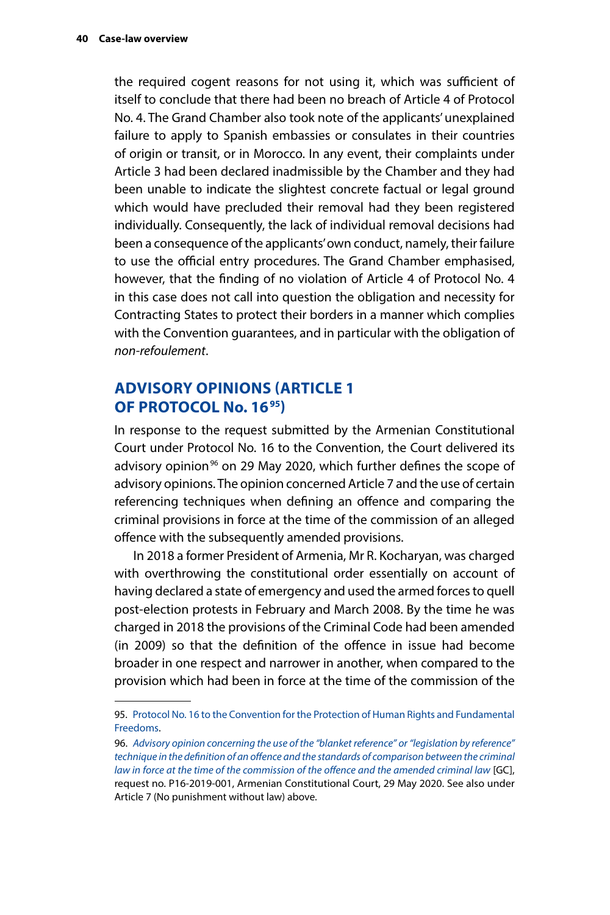<span id="page-43-0"></span>the required cogent reasons for not using it, which was sufficient of itself to conclude that there had been no breach of Article 4 of Protocol No. 4. The Grand Chamber also took note of the applicants' unexplained failure to apply to Spanish embassies or consulates in their countries of origin or transit, or in Morocco. In any event, their complaints under Article 3 had been declared inadmissible by the Chamber and they had been unable to indicate the slightest concrete factual or legal ground which would have precluded their removal had they been registered individually. Consequently, the lack of individual removal decisions had been a consequence of the applicants' own conduct, namely, their failure to use the official entry procedures. The Grand Chamber emphasised, however, that the finding of no violation of Article 4 of Protocol No. 4 in this case does not call into question the obligation and necessity for Contracting States to protect their borders in a manner which complies with the Convention guarantees, and in particular with the obligation of *non-refoulement*.

## **ADVISORY OPINIONS (ARTICLE 1 OF PROTOCOL No. 1695)**

In response to the request submitted by the Armenian Constitutional Court under Protocol No. 16 to the Convention, the Court delivered its advisory opinion<sup>96</sup> on 29 May 2020, which further defines the scope of advisory opinions. The opinion concerned Article 7 and the use of certain referencing techniques when defining an offence and comparing the criminal provisions in force at the time of the commission of an alleged offence with the subsequently amended provisions.

In 2018 a former President of Armenia, Mr R. Kocharyan, was charged with overthrowing the constitutional order essentially on account of having declared a state of emergency and used the armed forces to quell post-election protests in February and March 2008. By the time he was charged in 2018 the provisions of the Criminal Code had been amended (in 2009) so that the definition of the offence in issue had become broader in one respect and narrower in another, when compared to the provision which had been in force at the time of the commission of the

<sup>95.</sup> [Protocol No. 16 to the Convention for the Protection of Human Rights and Fundamental](https://www.coe.int/en/web/conventions/search-on-treaties/-/conventions/treaty/214)  [Freedoms.](https://www.coe.int/en/web/conventions/search-on-treaties/-/conventions/treaty/214)

<sup>96.</sup> *[Advisory opinion concerning the use of the "blanket reference" or "legislation by reference"](http://hudoc.echr.coe.int/eng?i=003-6708535-8973165)  [technique in the definition of an offence and the standards of comparison between the criminal](http://hudoc.echr.coe.int/eng?i=003-6708535-8973165)  [law in force at the time of the commission of the offence and the amended criminal law](http://hudoc.echr.coe.int/eng?i=003-6708535-8973165)* [GC], request no. P16-2019-001, Armenian Constitutional Court, 29 May 2020. See also under Article 7 (No punishment without law) above.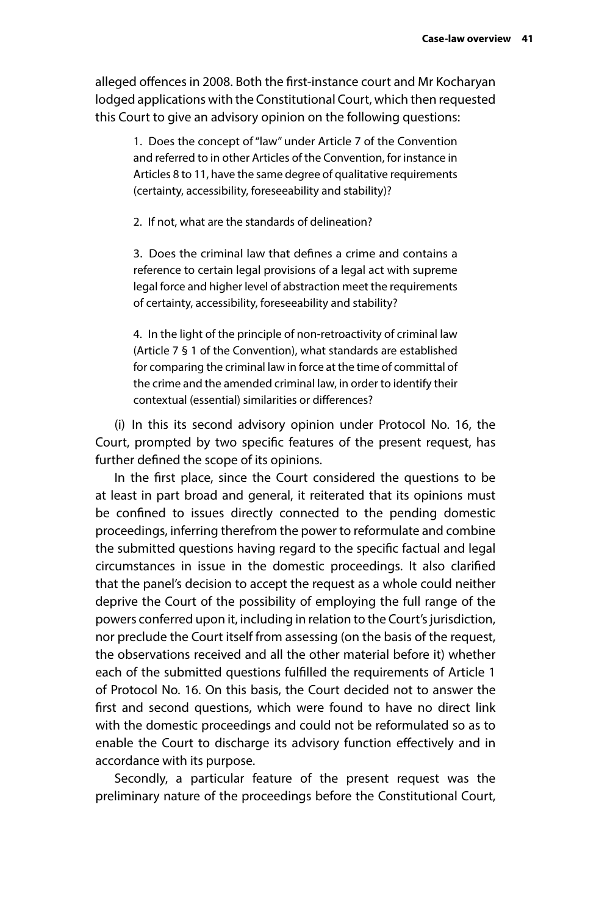alleged offences in 2008. Both the first-instance court and Mr Kocharyan lodged applications with the Constitutional Court, which then requested this Court to give an advisory opinion on the following questions:

1. Does the concept of "law" under Article 7 of the Convention and referred to in other Articles of the Convention, for instance in Articles 8 to 11, have the same degree of qualitative requirements (certainty, accessibility, foreseeability and stability)?

2. If not, what are the standards of delineation?

3. Does the criminal law that defines a crime and contains a reference to certain legal provisions of a legal act with supreme legal force and higher level of abstraction meet the requirements of certainty, accessibility, foreseeability and stability?

4. In the light of the principle of non-retroactivity of criminal law (Article 7 § 1 of the Convention), what standards are established for comparing the criminal law in force at the time of committal of the crime and the amended criminal law, in order to identify their contextual (essential) similarities or differences?

(i) In this its second advisory opinion under Protocol No. 16, the Court, prompted by two specific features of the present request, has further defined the scope of its opinions.

In the first place, since the Court considered the questions to be at least in part broad and general, it reiterated that its opinions must be confined to issues directly connected to the pending domestic proceedings, inferring therefrom the power to reformulate and combine the submitted questions having regard to the specific factual and legal circumstances in issue in the domestic proceedings. It also clarified that the panel's decision to accept the request as a whole could neither deprive the Court of the possibility of employing the full range of the powers conferred upon it, including in relation to the Court's jurisdiction, nor preclude the Court itself from assessing (on the basis of the request, the observations received and all the other material before it) whether each of the submitted questions fulfilled the requirements of Article 1 of Protocol No. 16. On this basis, the Court decided not to answer the first and second questions, which were found to have no direct link with the domestic proceedings and could not be reformulated so as to enable the Court to discharge its advisory function effectively and in accordance with its purpose.

Secondly, a particular feature of the present request was the preliminary nature of the proceedings before the Constitutional Court,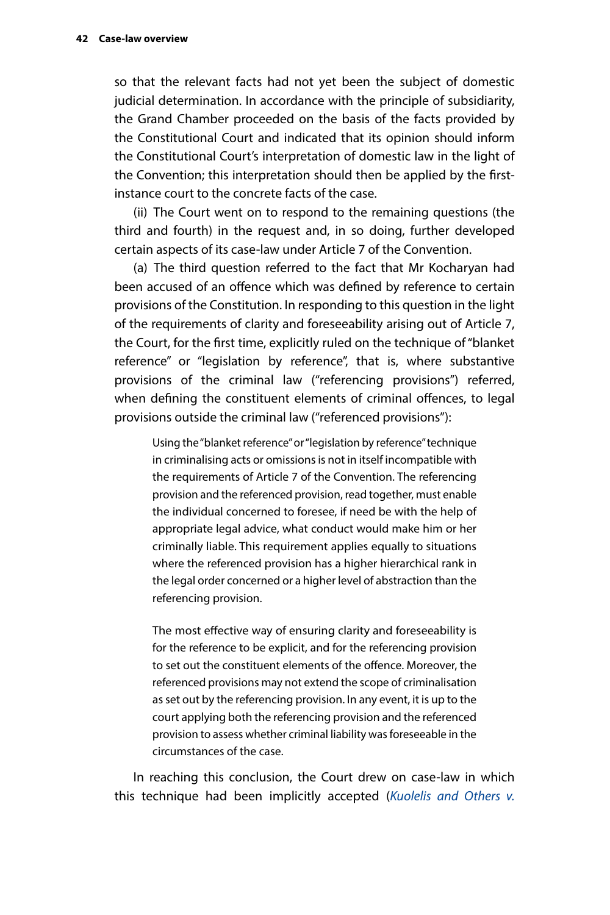so that the relevant facts had not yet been the subject of domestic judicial determination. In accordance with the principle of subsidiarity, the Grand Chamber proceeded on the basis of the facts provided by the Constitutional Court and indicated that its opinion should inform the Constitutional Court's interpretation of domestic law in the light of the Convention; this interpretation should then be applied by the firstinstance court to the concrete facts of the case.

(ii) The Court went on to respond to the remaining questions (the third and fourth) in the request and, in so doing, further developed certain aspects of its case-law under Article 7 of the Convention.

(a) The third question referred to the fact that Mr Kocharyan had been accused of an offence which was defined by reference to certain provisions of the Constitution. In responding to this question in the light of the requirements of clarity and foreseeability arising out of Article 7, the Court, for the first time, explicitly ruled on the technique of "blanket reference" or "legislation by reference", that is, where substantive provisions of the criminal law ("referencing provisions") referred, when defining the constituent elements of criminal offences, to legal provisions outside the criminal law ("referenced provisions"):

Using the "blanket reference" or "legislation by reference" technique in criminalising acts or omissions is not in itself incompatible with the requirements of Article 7 of the Convention. The referencing provision and the referenced provision, read together, must enable the individual concerned to foresee, if need be with the help of appropriate legal advice, what conduct would make him or her criminally liable. This requirement applies equally to situations where the referenced provision has a higher hierarchical rank in the legal order concerned or a higher level of abstraction than the referencing provision.

The most effective way of ensuring clarity and foreseeability is for the reference to be explicit, and for the referencing provision to set out the constituent elements of the offence. Moreover, the referenced provisions may not extend the scope of criminalisation as set out by the referencing provision. In any event, it is up to the court applying both the referencing provision and the referenced provision to assess whether criminal liability was foreseeable in the circumstances of the case.

In reaching this conclusion, the Court drew on case-law in which this technique had been implicitly accepted (*[Kuolelis and Others v.](http://hudoc.echr.coe.int/fre?i=001-85152)*